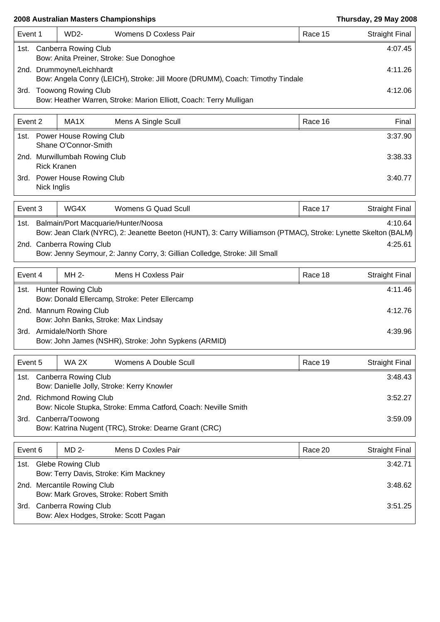### **2008 Australian Masters Championships Thursday, 29 May 2008**

| Event 1 |                            | $WD2-$                    | Womens D Coxless Pair                                                         |  | Race 15 | <b>Straight Final</b> |
|---------|----------------------------|---------------------------|-------------------------------------------------------------------------------|--|---------|-----------------------|
| 1st.    | Canberra Rowing Club       | 4:07.45                   |                                                                               |  |         |                       |
|         |                            |                           | Bow: Anita Preiner, Stroke: Sue Donoghoe                                      |  |         |                       |
|         |                            | 2nd. Drummoyne/Leichhardt |                                                                               |  |         | 4:11.26               |
|         |                            |                           | Bow: Angela Conry (LEICH), Stroke: Jill Moore (DRUMM), Coach: Timothy Tindale |  |         |                       |
| 3rd.    | <b>Toowong Rowing Club</b> |                           |                                                                               |  |         | 4:12.06               |
|         |                            |                           | Bow: Heather Warren, Stroke: Marion Elliott, Coach: Terry Mulligan            |  |         |                       |

| Event 2 |                                                     | MA1X                                                 | Mens A Single Scull | Race 16 | Final   |
|---------|-----------------------------------------------------|------------------------------------------------------|---------------------|---------|---------|
|         |                                                     | 1st. Power House Rowing Club<br>Shane O'Connor-Smith |                     | 3:37.90 |         |
|         | 2nd. Murwillumbah Rowing Club<br><b>Rick Kranen</b> |                                                      |                     |         | 3:38.33 |
|         | 3rd. Power House Rowing Club<br>Nick Inglis         |                                                      |                     |         | 3:40.77 |

| Event 3 |                                                                                                                | WG4X | Womens G Quad Scull | Race 17 | <b>Straight Final</b> |  |  |  |
|---------|----------------------------------------------------------------------------------------------------------------|------|---------------------|---------|-----------------------|--|--|--|
| 1st.    | Balmain/Port Macquarie/Hunter/Noosa<br>4:10.64                                                                 |      |                     |         |                       |  |  |  |
|         | Bow: Jean Clark (NYRC), 2: Jeanette Beeton (HUNT), 3: Carry Williamson (PTMAC), Stroke: Lynette Skelton (BALM) |      |                     |         |                       |  |  |  |
|         | 2nd. Canberra Rowing Club<br>4:25.61                                                                           |      |                     |         |                       |  |  |  |
|         | Bow: Jenny Seymour, 2: Janny Corry, 3: Gillian Colledge, Stroke: Jill Small                                    |      |                     |         |                       |  |  |  |

|      | MH 2-<br>Event 4                                                                       |  | Mens H Coxless Pair | Race 18 | Straight Final |  |
|------|----------------------------------------------------------------------------------------|--|---------------------|---------|----------------|--|
| 1st. | <b>Hunter Rowing Club</b><br>4:11.46<br>Bow: Donald Ellercamp, Stroke: Peter Ellercamp |  |                     |         |                |  |
|      | 2nd. Mannum Rowing Club<br>Bow: John Banks, Stroke: Max Lindsay                        |  |                     |         |                |  |
| 3rd. | Armidale/North Shore<br>Bow: John James (NSHR), Stroke: John Sypkens (ARMID)           |  |                     |         |                |  |

| Event 5 | Womens A Double Scull<br>WA 2X                                            |  | Race 19                                                        | Straight Final |         |         |
|---------|---------------------------------------------------------------------------|--|----------------------------------------------------------------|----------------|---------|---------|
| 1st.    | Canberra Rowing Club                                                      |  |                                                                |                |         | 3:48.43 |
|         |                                                                           |  | Bow: Danielle Jolly, Stroke: Kerry Knowler                     |                |         |         |
|         | 2nd. Richmond Rowing Club                                                 |  |                                                                |                | 3:52.27 |         |
|         |                                                                           |  | Bow: Nicole Stupka, Stroke: Emma Catford, Coach: Neville Smith |                |         |         |
| 3rd.    | Canberra/Toowong<br>Bow: Katrina Nugent (TRC), Stroke: Dearne Grant (CRC) |  |                                                                |                | 3:59.09 |         |

| Event 6 |                                        | MD 2- | Mens D Coxles Pair                    |  | Race 20 | Straight Final |
|---------|----------------------------------------|-------|---------------------------------------|--|---------|----------------|
| 1st.    | <b>Glebe Rowing Club</b>               |       |                                       |  | 3:42.71 |                |
|         |                                        |       | Bow: Terry Davis, Stroke: Kim Mackney |  |         |                |
|         | 2nd. Mercantile Rowing Club            |       |                                       |  |         | 3:48.62        |
|         | Bow: Mark Groves, Stroke: Robert Smith |       |                                       |  |         |                |
| 3rd.    | <b>Canberra Rowing Club</b>            |       |                                       |  | 3:51.25 |                |
|         |                                        |       | Bow: Alex Hodges, Stroke: Scott Pagan |  |         |                |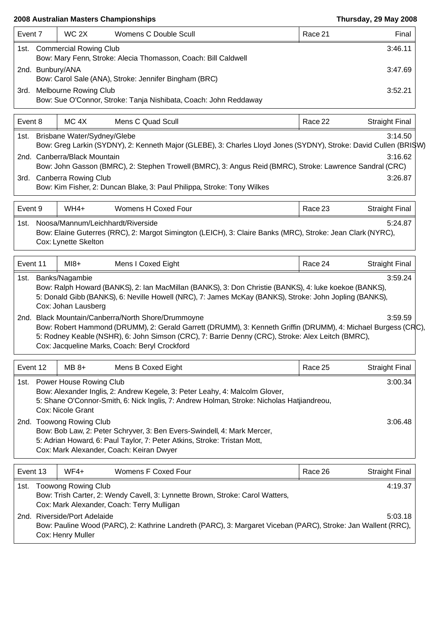### **2008 Australian Masters Championships Thursday, 29 May 2008**

| Event 7  | WC 2X                                                                                                    | Womens C Double Scull                                                                                                                                                                                                                                                                                                                                                                                                               | Race 21 | Final                 |  |  |
|----------|----------------------------------------------------------------------------------------------------------|-------------------------------------------------------------------------------------------------------------------------------------------------------------------------------------------------------------------------------------------------------------------------------------------------------------------------------------------------------------------------------------------------------------------------------------|---------|-----------------------|--|--|
|          | 3:46.11<br>1st. Commercial Rowing Club<br>Bow: Mary Fenn, Stroke: Alecia Thomasson, Coach: Bill Caldwell |                                                                                                                                                                                                                                                                                                                                                                                                                                     |         |                       |  |  |
|          | 2nd. Bunbury/ANA<br>3:47.69<br>Bow: Carol Sale (ANA), Stroke: Jennifer Bingham (BRC)                     |                                                                                                                                                                                                                                                                                                                                                                                                                                     |         |                       |  |  |
| 3rd.     | <b>Melbourne Rowing Club</b>                                                                             | Bow: Sue O'Connor, Stroke: Tanja Nishibata, Coach: John Reddaway                                                                                                                                                                                                                                                                                                                                                                    |         | 3:52.21               |  |  |
| Event 8  | MC <sub>4X</sub>                                                                                         | Mens C Quad Scull                                                                                                                                                                                                                                                                                                                                                                                                                   | Race 22 | <b>Straight Final</b> |  |  |
| 1st.     | Brisbane Water/Sydney/Glebe                                                                              | Bow: Greg Larkin (SYDNY), 2: Kenneth Major (GLEBE), 3: Charles Lloyd Jones (SYDNY), Stroke: David Cullen (BRISW)                                                                                                                                                                                                                                                                                                                    |         | 3:14.50               |  |  |
|          | 2nd. Canberra/Black Mountain<br>3rd. Canberra Rowing Club                                                | Bow: John Gasson (BMRC), 2: Stephen Trowell (BMRC), 3: Angus Reid (BMRC), Stroke: Lawrence Sandral (CRC)<br>Bow: Kim Fisher, 2: Duncan Blake, 3: Paul Philippa, Stroke: Tony Wilkes                                                                                                                                                                                                                                                 |         | 3:16.62<br>3:26.87    |  |  |
| Event 9  | WH4+                                                                                                     | Womens H Coxed Four                                                                                                                                                                                                                                                                                                                                                                                                                 | Race 23 | <b>Straight Final</b> |  |  |
| 1st.     | Noosa/Mannum/Leichhardt/Riverside<br>Cox: Lynette Skelton                                                | Bow: Elaine Guterres (RRC), 2: Margot Simington (LEICH), 3: Claire Banks (MRC), Stroke: Jean Clark (NYRC),                                                                                                                                                                                                                                                                                                                          |         | 5:24.87               |  |  |
| Event 11 | $M18+$                                                                                                   | Mens I Coxed Eight                                                                                                                                                                                                                                                                                                                                                                                                                  | Race 24 | <b>Straight Final</b> |  |  |
|          | Cox: Johan Lausberg                                                                                      | 5: Donald Gibb (BANKS), 6: Neville Howell (NRC), 7: James McKay (BANKS), Stroke: John Jopling (BANKS),<br>2nd. Black Mountain/Canberra/North Shore/Drummoyne<br>Bow: Robert Hammond (DRUMM), 2: Gerald Garrett (DRUMM), 3: Kenneth Griffin (DRUMM), 4: Michael Burgess (CRC),<br>5: Rodney Keable (NSHR), 6: John Simson (CRC), 7: Barrie Denny (CRC), Stroke: Alex Leitch (BMRC),<br>Cox: Jacqueline Marks, Coach: Beryl Crockford |         | 3:59.59               |  |  |
| Event 12 | $MB 8+$                                                                                                  | Mens B Coxed Eight                                                                                                                                                                                                                                                                                                                                                                                                                  | Race 25 | <b>Straight Final</b> |  |  |
|          | 1st. Power House Rowing Club<br>Cox: Nicole Grant                                                        | Bow: Alexander Inglis, 2: Andrew Kegele, 3: Peter Leahy, 4: Malcolm Glover,<br>5: Shane O'Connor-Smith, 6: Nick Inglis, 7: Andrew Holman, Stroke: Nicholas Hatjiandreou,                                                                                                                                                                                                                                                            |         | 3:00.34               |  |  |
|          | 2nd. Toowong Rowing Club                                                                                 | Bow: Bob Law, 2: Peter Schryver, 3: Ben Evers-Swindell, 4: Mark Mercer,<br>5: Adrian Howard, 6: Paul Taylor, 7: Peter Atkins, Stroke: Tristan Mott,<br>Cox: Mark Alexander, Coach: Keiran Dwyer                                                                                                                                                                                                                                     |         | 3:06.48               |  |  |
| Event 13 | $WF4+$                                                                                                   | Womens F Coxed Four                                                                                                                                                                                                                                                                                                                                                                                                                 | Race 26 |                       |  |  |
| 1st.     | <b>Toowong Rowing Club</b>                                                                               |                                                                                                                                                                                                                                                                                                                                                                                                                                     |         | <b>Straight Final</b> |  |  |
|          |                                                                                                          | Bow: Trish Carter, 2: Wendy Cavell, 3: Lynnette Brown, Stroke: Carol Watters,<br>Cox: Mark Alexander, Coach: Terry Mulligan                                                                                                                                                                                                                                                                                                         |         | 4:19.37               |  |  |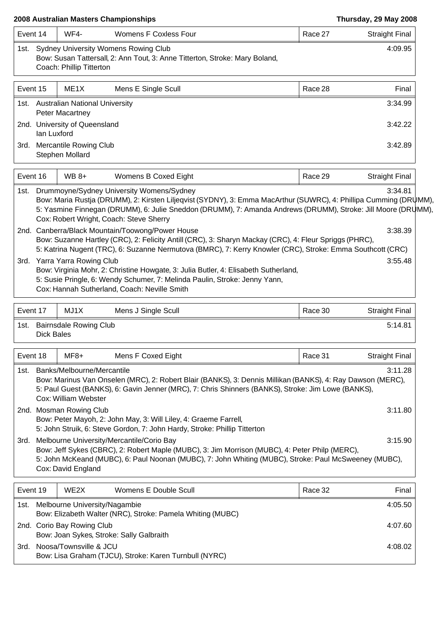### **2008 Australian Masters Championships Thursday, 29 May 2008**

| Event 14                  | WF4-                                                                                        | Womens F Coxless Four                                                                                                                                                                                                                                                                                                           | Race 27 | <b>Straight Final</b> |
|---------------------------|---------------------------------------------------------------------------------------------|---------------------------------------------------------------------------------------------------------------------------------------------------------------------------------------------------------------------------------------------------------------------------------------------------------------------------------|---------|-----------------------|
|                           | Coach: Phillip Titterton                                                                    | 1st. Sydney University Womens Rowing Club<br>Bow: Susan Tattersall, 2: Ann Tout, 3: Anne Titterton, Stroke: Mary Boland,                                                                                                                                                                                                        |         | 4:09.95               |
| Event 15                  | ME1X                                                                                        | Mens E Single Scull                                                                                                                                                                                                                                                                                                             | Race 28 | Final                 |
|                           | 1st. Australian National University<br><b>Peter Macartney</b>                               |                                                                                                                                                                                                                                                                                                                                 |         | 3:34.99               |
| Ian Luxford               | 2nd. University of Queensland                                                               |                                                                                                                                                                                                                                                                                                                                 |         | 3:42.22               |
|                           | 3rd. Mercantile Rowing Club<br>Stephen Mollard                                              |                                                                                                                                                                                                                                                                                                                                 |         | 3:42.89               |
| Event 16                  | WB 8+                                                                                       | Womens B Coxed Eight                                                                                                                                                                                                                                                                                                            | Race 29 | <b>Straight Final</b> |
|                           |                                                                                             | 1st. Drummoyne/Sydney University Womens/Sydney<br>Bow: Maria Rustja (DRUMM), 2: Kirsten Liljeqvist (SYDNY), 3: Emma MacArthur (SUWRC), 4: Phillipa Cumming (DRUMM),<br>5: Yasmine Finnegan (DRUMM), 6: Julie Sneddon (DRUMM), 7: Amanda Andrews (DRUMM), Stroke: Jill Moore (DRUMM),<br>Cox: Robert Wright, Coach: Steve Sherry |         | 3:34.81               |
|                           |                                                                                             | 2nd. Canberra/Black Mountain/Toowong/Power House<br>Bow: Suzanne Hartley (CRC), 2: Felicity Antill (CRC), 3: Sharyn Mackay (CRC), 4: Fleur Spriggs (PHRC),                                                                                                                                                                      |         | 3:38.39               |
|                           | 3rd. Yarra Yarra Rowing Club                                                                | 5: Katrina Nugent (TRC), 6: Suzanne Nermutova (BMRC), 7: Kerry Knowler (CRC), Stroke: Emma Southcott (CRC)                                                                                                                                                                                                                      |         | 3:55.48               |
|                           |                                                                                             | Bow: Virginia Mohr, 2: Christine Howgate, 3: Julia Butler, 4: Elisabeth Sutherland,<br>5: Susie Pringle, 6: Wendy Schumer, 7: Melinda Paulin, Stroke: Jenny Yann,<br>Cox: Hannah Sutherland, Coach: Neville Smith                                                                                                               |         |                       |
| Event 17                  | MJ1X                                                                                        | Mens J Single Scull                                                                                                                                                                                                                                                                                                             | Race 30 | <b>Straight Final</b> |
| 1st.<br><b>Dick Bales</b> | <b>Bairnsdale Rowing Club</b>                                                               |                                                                                                                                                                                                                                                                                                                                 |         | 5:14.81               |
| Event 18                  | MF8+                                                                                        | Mens F Coxed Eight                                                                                                                                                                                                                                                                                                              | Race 31 | <b>Straight Final</b> |
|                           | 1st. Banks/Melbourne/Mercantile                                                             |                                                                                                                                                                                                                                                                                                                                 |         | 3:11.28               |
|                           | Cox: William Webster                                                                        | Bow: Marinus Van Onselen (MRC), 2: Robert Blair (BANKS), 3: Dennis Millikan (BANKS), 4: Ray Dawson (MERC),<br>5: Paul Guest (BANKS), 6: Gavin Jenner (MRC), 7: Chris Shinners (BANKS), Stroke: Jim Lowe (BANKS),                                                                                                                |         |                       |
|                           | 2nd. Mosman Rowing Club<br>Bow: Peter Mayoh, 2: John May, 3: Will Liley, 4: Graeme Farrell, |                                                                                                                                                                                                                                                                                                                                 |         |                       |
|                           |                                                                                             | 5: John Struik, 6: Steve Gordon, 7: John Hardy, Stroke: Phillip Titterton                                                                                                                                                                                                                                                       |         | 3:11.80               |
| 3rd.                      | Cox: David England                                                                          | Melbourne University/Mercantile/Corio Bay<br>Bow: Jeff Sykes (CBRC), 2: Robert Maple (MUBC), 3: Jim Morrison (MUBC), 4: Peter Philp (MERC),<br>5: John McKeand (MUBC), 6: Paul Noonan (MUBC), 7: John Whiting (MUBC), Stroke: Paul McSweeney (MUBC),                                                                            |         | 3:15.90               |
| Event 19                  | WE2X                                                                                        | Womens E Double Scull                                                                                                                                                                                                                                                                                                           | Race 32 | Final                 |
| 1st. l                    | Melbourne University/Nagambie                                                               | Bow: Elizabeth Walter (NRC), Stroke: Pamela Whiting (MUBC)                                                                                                                                                                                                                                                                      |         | 4:05.50               |

3rd. Noosa/Townsville & JCU 4:08.02 Bow: Lisa Graham (TJCU), Stroke: Karen Turnbull (NYRC)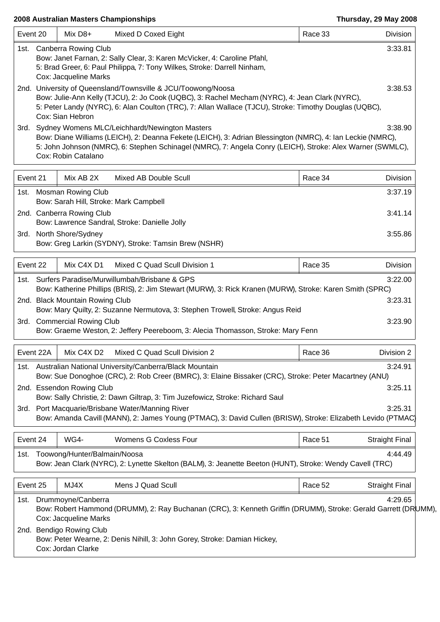| 2008 Australian Masters Championships |                                                                                                                                                                                                            |                                                                |                                                                                                                                                                                                                                                                                                                                                                                                                           | Thursday, 29 May 2008 |                               |  |
|---------------------------------------|------------------------------------------------------------------------------------------------------------------------------------------------------------------------------------------------------------|----------------------------------------------------------------|---------------------------------------------------------------------------------------------------------------------------------------------------------------------------------------------------------------------------------------------------------------------------------------------------------------------------------------------------------------------------------------------------------------------------|-----------------------|-------------------------------|--|
| Event 20                              |                                                                                                                                                                                                            | Mix D8+                                                        | Mixed D Coxed Eight                                                                                                                                                                                                                                                                                                                                                                                                       | Race 33               | Division                      |  |
|                                       | 1st. Canberra Rowing Club<br>Bow: Janet Farnan, 2: Sally Clear, 3: Karen McVicker, 4: Caroline Pfahl,<br>5: Brad Greer, 6: Paul Philippa, 7: Tony Wilkes, Stroke: Darrell Ninham,<br>Cox: Jacqueline Marks |                                                                |                                                                                                                                                                                                                                                                                                                                                                                                                           |                       |                               |  |
|                                       |                                                                                                                                                                                                            | Cox: Sian Hebron                                               | 2nd. University of Queensland/Townsville & JCU/Toowong/Noosa<br>Bow: Julie-Ann Kelly (TJCU), 2: Jo Cook (UQBC), 3: Rachel Mecham (NYRC), 4: Jean Clark (NYRC),<br>5: Peter Landy (NYRC), 6: Alan Coulton (TRC), 7: Allan Wallace (TJCU), Stroke: Timothy Douglas (UQBC),                                                                                                                                                  |                       | 3:38.53                       |  |
|                                       |                                                                                                                                                                                                            | Cox: Robin Catalano                                            | 3rd. Sydney Womens MLC/Leichhardt/Newington Masters<br>Bow: Diane Williams (LEICH), 2: Deanna Fekete (LEICH), 3: Adrian Blessington (NMRC), 4: Ian Leckie (NMRC),<br>5: John Johnson (NMRC), 6: Stephen Schinagel (NMRC), 7: Angela Conry (LEICH), Stroke: Alex Warner (SWMLC),                                                                                                                                           |                       | 3:38.90                       |  |
| Event 21                              |                                                                                                                                                                                                            | Mix AB 2X                                                      | Mixed AB Double Scull                                                                                                                                                                                                                                                                                                                                                                                                     | Race 34               | Division                      |  |
|                                       |                                                                                                                                                                                                            | 1st. Mosman Rowing Club                                        | Bow: Sarah Hill, Stroke: Mark Campbell                                                                                                                                                                                                                                                                                                                                                                                    |                       | 3:37.19                       |  |
|                                       |                                                                                                                                                                                                            | 2nd. Canberra Rowing Club                                      | Bow: Lawrence Sandral, Stroke: Danielle Jolly                                                                                                                                                                                                                                                                                                                                                                             |                       | 3:41.14                       |  |
|                                       |                                                                                                                                                                                                            | 3rd. North Shore/Sydney                                        | Bow: Greg Larkin (SYDNY), Stroke: Tamsin Brew (NSHR)                                                                                                                                                                                                                                                                                                                                                                      |                       | 3:55.86                       |  |
| Event 22                              |                                                                                                                                                                                                            | Mix C4X D1                                                     | Mixed C Quad Scull Division 1                                                                                                                                                                                                                                                                                                                                                                                             | Race 35               | <b>Division</b>               |  |
|                                       |                                                                                                                                                                                                            | 2nd. Black Mountain Rowing Club<br>3rd. Commercial Rowing Club | 1st. Surfers Paradise/Murwillumbah/Brisbane & GPS<br>Bow: Katherine Phillips (BRIS), 2: Jim Stewart (MURW), 3: Rick Kranen (MURW), Stroke: Karen Smith (SPRC)<br>Bow: Mary Quilty, 2: Suzanne Nermutova, 3: Stephen Trowell, Stroke: Angus Reid<br>Bow: Graeme Weston, 2: Jeffery Peereboom, 3: Alecia Thomasson, Stroke: Mary Fenn                                                                                       |                       | 3:22.00<br>3:23.31<br>3:23.90 |  |
|                                       | Event 22A                                                                                                                                                                                                  | Mix C4X D2                                                     | Mixed C Quad Scull Division 2                                                                                                                                                                                                                                                                                                                                                                                             | Race 36               | Division 2                    |  |
|                                       |                                                                                                                                                                                                            | 2nd. Essendon Rowing Club                                      | 1st. Australian National University/Canberra/Black Mountain<br>Bow: Sue Donoghoe (CRC), 2: Rob Creer (BMRC), 3: Elaine Bissaker (CRC), Stroke: Peter Macartney (ANU)<br>Bow: Sally Christie, 2: Dawn Giltrap, 3: Tim Juzefowicz, Stroke: Richard Saul<br>3rd. Port Macquarie/Brisbane Water/Manning River<br>Bow: Amanda Cavill (MANN), 2: James Young (PTMAC), 3: David Cullen (BRISW), Stroke: Elizabeth Levido (PTMAC) |                       | 3:24.91<br>3:25.11<br>3:25.31 |  |
| Event 24                              |                                                                                                                                                                                                            | WG4-                                                           | Womens G Coxless Four                                                                                                                                                                                                                                                                                                                                                                                                     | Race 51               | <b>Straight Final</b>         |  |
| 1st.                                  |                                                                                                                                                                                                            | Toowong/Hunter/Balmain/Noosa                                   | Bow: Jean Clark (NYRC), 2: Lynette Skelton (BALM), 3: Jeanette Beeton (HUNT), Stroke: Wendy Cavell (TRC)                                                                                                                                                                                                                                                                                                                  |                       | 4:44.49                       |  |
| Event 25                              |                                                                                                                                                                                                            | MJ4X                                                           | Mens J Quad Scull                                                                                                                                                                                                                                                                                                                                                                                                         | Race 52               | <b>Straight Final</b>         |  |
| 1st.                                  |                                                                                                                                                                                                            | Drummoyne/Canberra<br>Cox: Jacqueline Marks                    | Bow: Robert Hammond (DRUMM), 2: Ray Buchanan (CRC), 3: Kenneth Griffin (DRUMM), Stroke: Gerald Garrett (DRUMM),                                                                                                                                                                                                                                                                                                           |                       | 4:29.65                       |  |

2nd. Bendigo Rowing Club

Bow: Peter Wearne, 2: Denis Nihill, 3: John Gorey, Stroke: Damian Hickey,

Cox: Jordan Clarke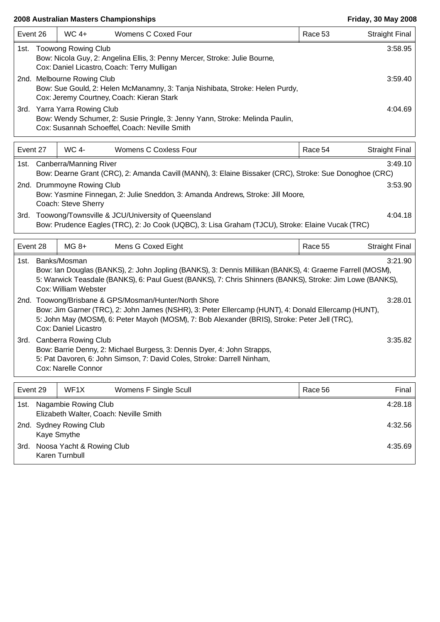| Event 26 |                                                                                                                                                         | $WC 4+$                      | Womens C Coxed Four                                                                                                           | Race 53 | <b>Straight Final</b> |  |  |
|----------|---------------------------------------------------------------------------------------------------------------------------------------------------------|------------------------------|-------------------------------------------------------------------------------------------------------------------------------|---------|-----------------------|--|--|
|          | 1st. Toowong Rowing Club<br>Bow: Nicola Guy, 2: Angelina Ellis, 3: Penny Mercer, Stroke: Julie Bourne,<br>Cox: Daniel Licastro, Coach: Terry Mulligan   |                              |                                                                                                                               |         |                       |  |  |
|          | 2nd. Melbourne Rowing Club<br>Bow: Sue Gould, 2: Helen McManamny, 3: Tanja Nishibata, Stroke: Helen Purdy,<br>Cox: Jeremy Courtney, Coach: Kieran Stark |                              | 3:59.40                                                                                                                       |         |                       |  |  |
|          |                                                                                                                                                         | 3rd. Yarra Yarra Rowing Club | Bow: Wendy Schumer, 2: Susie Pringle, 3: Jenny Yann, Stroke: Melinda Paulin,<br>Cox: Susannah Schoeffel, Coach: Neville Smith |         | 4:04.69               |  |  |

| Event 27                                                                                                                                        |                                                                                                                                                                  | WC 4-   | Womens C Coxless Four | Race 54 | <b>Straight Final</b> |  |  |  |
|-------------------------------------------------------------------------------------------------------------------------------------------------|------------------------------------------------------------------------------------------------------------------------------------------------------------------|---------|-----------------------|---------|-----------------------|--|--|--|
| 1st.                                                                                                                                            | Canberra/Manning River<br>3:49.10<br>Bow: Dearne Grant (CRC), 2: Amanda Cavill (MANN), 3: Elaine Bissaker (CRC), Stroke: Sue Donoghoe (CRC)                      |         |                       |         |                       |  |  |  |
| 2nd. Drummoyne Rowing Club<br>3:53.90<br>Bow: Yasmine Finnegan, 2: Julie Sneddon, 3: Amanda Andrews, Stroke: Jill Moore,<br>Coach: Steve Sherry |                                                                                                                                                                  |         |                       |         |                       |  |  |  |
| 3rd.                                                                                                                                            | Toowong/Townsville & JCU/University of Queensland<br>4:04.18<br>Bow: Prudence Eagles (TRC), 2: Jo Cook (UQBC), 3: Lisa Graham (TJCU), Stroke: Elaine Vucak (TRC) |         |                       |         |                       |  |  |  |
| Event 28                                                                                                                                        |                                                                                                                                                                  | $MG_8+$ | Mens G Coxed Eight    | Race 55 | Straight Final        |  |  |  |

| 1st. | Banks/Mosman<br>Bow: Ian Douglas (BANKS), 2: John Jopling (BANKS), 3: Dennis Millikan (BANKS), 4: Graeme Farrell (MOSM),                                                                                                                                                              | 3:21.90 |
|------|---------------------------------------------------------------------------------------------------------------------------------------------------------------------------------------------------------------------------------------------------------------------------------------|---------|
|      | 5: Warwick Teasdale (BANKS), 6: Paul Guest (BANKS), 7: Chris Shinners (BANKS), Stroke: Jim Lowe (BANKS),<br>Cox: William Webster                                                                                                                                                      |         |
|      | 2nd. Toowong/Brisbane & GPS/Mosman/Hunter/North Shore<br>Bow: Jim Garner (TRC), 2: John James (NSHR), 3: Peter Ellercamp (HUNT), 4: Donald Ellercamp (HUNT),<br>5: John May (MOSM), 6: Peter Mayoh (MOSM), 7: Bob Alexander (BRIS), Stroke: Peter Jell (TRC),<br>Cox: Daniel Licastro | 3:28.01 |
| 3rd. | Canberra Rowing Club<br>Bow: Barrie Denny, 2: Michael Burgess, 3: Dennis Dyer, 4: John Strapps,<br>5: Pat Davoren, 6: John Simson, 7: David Coles, Stroke: Darrell Ninham,<br>Cox: Narelle Connor                                                                                     | 3:35.82 |

| Event 29 |                                                                | WF1X | Womens F Single Scull | Race 56 | Final   |
|----------|----------------------------------------------------------------|------|-----------------------|---------|---------|
| 1st.     | Nagambie Rowing Club<br>Elizabeth Walter, Coach: Neville Smith |      |                       |         |         |
|          | 2nd. Sydney Rowing Club<br>Kaye Smythe                         |      |                       |         | 4:32.56 |
| 3rd.     | Noosa Yacht & Rowing Club<br>Karen Turnbull                    |      |                       |         | 4:35.69 |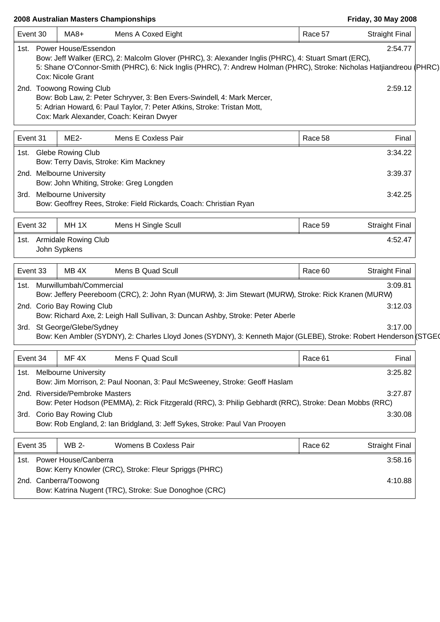$\overline{1}$ 

| Event 30 | $MA8+$                                                     | Mens A Coxed Eight                                                                                                                                                                                                           | Race 57 | <b>Straight Final</b> |
|----------|------------------------------------------------------------|------------------------------------------------------------------------------------------------------------------------------------------------------------------------------------------------------------------------------|---------|-----------------------|
|          | 1st. Power House/Essendon<br>Cox: Nicole Grant             | Bow: Jeff Walker (ERC), 2: Malcolm Glover (PHRC), 3: Alexander Inglis (PHRC), 4: Stuart Smart (ERC),<br>5: Shane O'Connor-Smith (PHRC), 6: Nick Inglis (PHRC), 7: Andrew Holman (PHRC), Stroke: Nicholas Hatjiandreou (PHRC) |         | 2:54.77               |
|          | 2nd. Toowong Rowing Club                                   | Bow: Bob Law, 2: Peter Schryver, 3: Ben Evers-Swindell, 4: Mark Mercer,<br>5: Adrian Howard, 6: Paul Taylor, 7: Peter Atkins, Stroke: Tristan Mott,<br>Cox: Mark Alexander, Coach: Keiran Dwyer                              |         | 2:59.12               |
| Event 31 | <b>ME2-</b>                                                | Mens E Coxless Pair                                                                                                                                                                                                          | Race 58 | Final                 |
|          | 1st. Glebe Rowing Club                                     | Bow: Terry Davis, Stroke: Kim Mackney                                                                                                                                                                                        |         | 3:34.22               |
|          | 2nd. Melbourne University                                  | Bow: John Whiting, Stroke: Greg Longden                                                                                                                                                                                      |         | 3:39.37               |
|          | 3rd. Melbourne University                                  | Bow: Geoffrey Rees, Stroke: Field Rickards, Coach: Christian Ryan                                                                                                                                                            |         | 3:42.25               |
| Event 32 | MH <sub>1X</sub>                                           | Mens H Single Scull                                                                                                                                                                                                          | Race 59 | <b>Straight Final</b> |
|          | 1st. Armidale Rowing Club<br>John Sypkens                  |                                                                                                                                                                                                                              |         | 4:52.47               |
| Event 33 | MB <sub>4X</sub>                                           | Mens B Quad Scull                                                                                                                                                                                                            | Race 60 | <b>Straight Final</b> |
|          | 1st. Murwillumbah/Commercial<br>2nd. Corio Bay Rowing Club | Bow: Jeffery Peereboom (CRC), 2: John Ryan (MURW), 3: Jim Stewart (MURW), Stroke: Rick Kranen (MURW)<br>Bow: Richard Axe, 2: Leigh Hall Sullivan, 3: Duncan Ashby, Stroke: Peter Aberle                                      |         | 3:09.81<br>3:12.03    |
|          | 3rd. St George/Glebe/Sydney                                | Bow: Ken Ambler (SYDNY), 2: Charles Lloyd Jones (SYDNY), 3: Kenneth Major (GLEBE), Stroke: Robert Henderson (STGE(                                                                                                           |         | 3:17.00               |
| Event 34 | MF <sub>4X</sub>                                           | Mens F Quad Scull                                                                                                                                                                                                            | Race 61 | Final                 |
| 1st.     | <b>Melbourne University</b>                                | Bow: Jim Morrison, 2: Paul Noonan, 3: Paul McSweeney, Stroke: Geoff Haslam                                                                                                                                                   |         | 3:25.82               |
|          | 2nd. Riverside/Pembroke Masters                            | Bow: Peter Hodson (PEMMA), 2: Rick Fitzgerald (RRC), 3: Philip Gebhardt (RRC), Stroke: Dean Mobbs (RRC)                                                                                                                      |         | 3:27.87               |
|          | 3rd. Corio Bay Rowing Club                                 | Bow: Rob England, 2: Ian Bridgland, 3: Jeff Sykes, Stroke: Paul Van Prooyen                                                                                                                                                  |         | 3:30.08               |
| Event 35 | <b>WB 2-</b>                                               | Womens B Coxless Pair                                                                                                                                                                                                        | Race 62 | <b>Straight Final</b> |
|          | 1st. Power House/Canberra                                  | Bow: Kerry Knowler (CRC), Stroke: Fleur Spriggs (PHRC)                                                                                                                                                                       |         | 3:58.16               |
|          | 2nd. Canberra/Toowong                                      | Bow: Katrina Nugent (TRC), Stroke: Sue Donoghoe (CRC)                                                                                                                                                                        |         | 4:10.88               |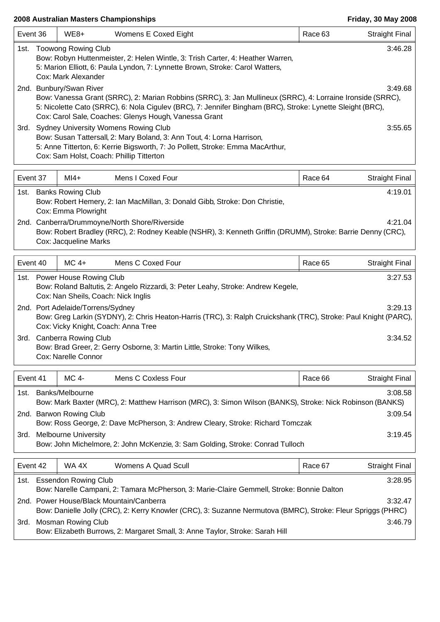-1

| Event 36                                                                                                                                                                                                                     |  | $WE8+$                  | Womens E Coxed Eight                                                                                                                                                                                                                                                              | Race 63 | <b>Straight Final</b> |
|------------------------------------------------------------------------------------------------------------------------------------------------------------------------------------------------------------------------------|--|-------------------------|-----------------------------------------------------------------------------------------------------------------------------------------------------------------------------------------------------------------------------------------------------------------------------------|---------|-----------------------|
| <b>Toowong Rowing Club</b><br>1st.<br>Bow: Robyn Huttenmeister, 2: Helen Wintle, 3: Trish Carter, 4: Heather Warren,<br>5: Marion Elliott, 6: Paula Lyndon, 7: Lynnette Brown, Stroke: Carol Watters,<br>Cox: Mark Alexander |  |                         |                                                                                                                                                                                                                                                                                   |         |                       |
|                                                                                                                                                                                                                              |  | 2nd. Bunbury/Swan River | Bow: Vanessa Grant (SRRC), 2: Marian Robbins (SRRC), 3: Jan Mullineux (SRRC), 4: Lorraine Ironside (SRRC),<br>5: Nicolette Cato (SRRC), 6: Nola Cigulev (BRC), 7: Jennifer Bingham (BRC), Stroke: Lynette Sleight (BRC),<br>Cox: Carol Sale, Coaches: Glenys Hough, Vanessa Grant |         | 3:49.68               |
| 3rd.                                                                                                                                                                                                                         |  |                         | <b>Sydney University Womens Rowing Club</b><br>Bow: Susan Tattersall, 2: Mary Boland, 3: Ann Tout, 4: Lorna Harrison,<br>5: Anne Titterton, 6: Kerrie Bigsworth, 7: Jo Pollett, Stroke: Emma MacArthur,<br>Cox: Sam Holst, Coach: Phillip Titterton                               |         | 3:55.65               |

| Event 37 |  | $M14+$                                          | Mens I Coxed Four                                                                                                                                            | Race 64 | Straight Final |
|----------|--|-------------------------------------------------|--------------------------------------------------------------------------------------------------------------------------------------------------------------|---------|----------------|
| 1st.     |  | <b>Banks Rowing Club</b><br>Cox: Emma Plowright | Bow: Robert Hemery, 2: Ian MacMillan, 3: Donald Gibb, Stroke: Don Christie,                                                                                  |         | 4:19.01        |
|          |  | Cox: Jacqueline Marks                           | 2nd. Canberra/Drummoyne/North Shore/Riverside<br>Bow: Robert Bradley (RRC), 2: Rodney Keable (NSHR), 3: Kenneth Griffin (DRUMM), Stroke: Barrie Denny (CRC), |         | 4:21.04        |

| Event 40 |  | $MC4+$                                                                   | Mens C Coxed Four                                                                                               | Race 65 | <b>Straight Final</b> |
|----------|--|--------------------------------------------------------------------------|-----------------------------------------------------------------------------------------------------------------|---------|-----------------------|
|          |  | 1st. Power House Rowing Club<br>Cox: Nan Sheils, Coach: Nick Inglis      | Bow: Roland Baltutis, 2: Angelo Rizzardi, 3: Peter Leahy, Stroke: Andrew Kegele,                                |         | 3:27.53               |
|          |  | 2nd. Port Adelaide/Torrens/Sydney<br>Cox: Vicky Knight, Coach: Anna Tree | Bow: Greg Larkin (SYDNY), 2: Chris Heaton-Harris (TRC), 3: Ralph Cruickshank (TRC), Stroke: Paul Knight (PARC), |         | 3:29.13               |
| 3rd.     |  | Canberra Rowing Club<br>Cox: Narelle Connor                              | Bow: Brad Greer, 2: Gerry Osborne, 3: Martin Little, Stroke: Tony Wilkes,                                       |         | 3:34.52               |

| Event 41 |                                                                                                                      | MC 4-                       | Mens C Coxless Four                                                                                       | Race 66 | <b>Straight Final</b> |  |
|----------|----------------------------------------------------------------------------------------------------------------------|-----------------------------|-----------------------------------------------------------------------------------------------------------|---------|-----------------------|--|
|          |                                                                                                                      | 1st. Banks/Melbourne        | Bow: Mark Baxter (MRC), 2: Matthew Harrison (MRC), 3: Simon Wilson (BANKS), Stroke: Nick Robinson (BANKS) |         | 3:08.58               |  |
|          | 2nd. Barwon Rowing Club<br>3:09.54<br>Bow: Ross George, 2: Dave McPherson, 3: Andrew Cleary, Stroke: Richard Tomczak |                             |                                                                                                           |         |                       |  |
| 3rd.     |                                                                                                                      | <b>Melbourne University</b> | Bow: John Michelmore, 2: John McKenzie, 3: Sam Golding, Stroke: Conrad Tulloch                            |         | 3:19.45               |  |

| Event 42                                                                                                     |                           | WA 4X              | Womens A Quad Scull                                                           | Race 67 | <b>Straight Final</b> |
|--------------------------------------------------------------------------------------------------------------|---------------------------|--------------------|-------------------------------------------------------------------------------|---------|-----------------------|
|                                                                                                              | 1st. Essendon Rowing Club |                    | 3:28.95                                                                       |         |                       |
| Bow: Narelle Campani, 2: Tamara McPherson, 3: Marie-Claire Gemmell, Stroke: Bonnie Dalton                    |                           |                    |                                                                               |         |                       |
| 2nd. Power House/Black Mountain/Canberra                                                                     |                           |                    | 3:32.47                                                                       |         |                       |
| Bow: Danielle Jolly (CRC), 2: Kerry Knowler (CRC), 3: Suzanne Nermutova (BMRC), Stroke: Fleur Spriggs (PHRC) |                           |                    |                                                                               |         |                       |
| 3rd.                                                                                                         |                           | Mosman Rowing Club |                                                                               |         | 3:46.79               |
|                                                                                                              |                           |                    | Bow: Elizabeth Burrows, 2: Margaret Small, 3: Anne Taylor, Stroke: Sarah Hill |         |                       |

Τ

٦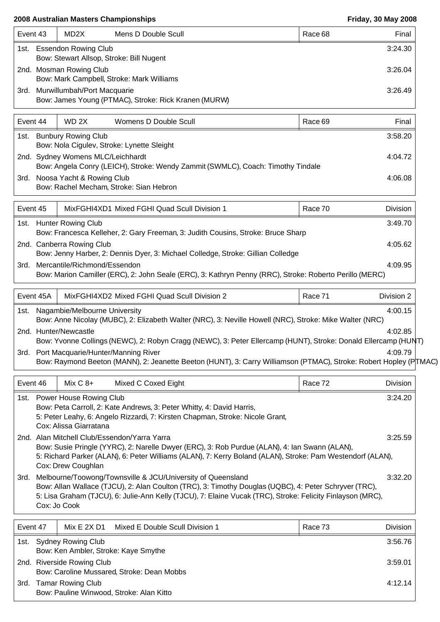| Event 43                                                                        |                             | MD2X                    | Mens D Double Scull                                  |         | Race 68 | Final   |
|---------------------------------------------------------------------------------|-----------------------------|-------------------------|------------------------------------------------------|---------|---------|---------|
| <b>Essendon Rowing Club</b><br>1st.<br>Bow: Stewart Allsop, Stroke: Bill Nugent |                             |                         |                                                      | 3:24.30 |         |         |
|                                                                                 |                             |                         |                                                      |         |         |         |
|                                                                                 |                             | 2nd. Mosman Rowing Club |                                                      |         |         | 3:26.04 |
|                                                                                 |                             |                         | Bow: Mark Campbell, Stroke: Mark Williams            |         |         |         |
| 3rd.                                                                            | Murwillumbah/Port Macquarie |                         |                                                      |         | 3:26.49 |         |
|                                                                                 |                             |                         | Bow: James Young (PTMAC), Stroke: Rick Kranen (MURW) |         |         |         |

| Event 44 |                                            | WD 2X | Womens D Double Scull                                                           |         | Race 69 | Final |
|----------|--------------------------------------------|-------|---------------------------------------------------------------------------------|---------|---------|-------|
| 1st.     | <b>Bunbury Rowing Club</b>                 |       |                                                                                 |         | 3:58.20 |       |
|          | Bow: Nola Cigulev, Stroke: Lynette Sleight |       |                                                                                 |         |         |       |
|          | 2nd. Sydney Womens MLC/Leichhardt          |       |                                                                                 | 4:04.72 |         |       |
|          |                                            |       | Bow: Angela Conry (LEICH), Stroke: Wendy Zammit (SWMLC), Coach: Timothy Tindale |         |         |       |
|          | 3rd. Noosa Yacht & Rowing Club             |       |                                                                                 |         | 4:06.08 |       |
|          |                                            |       | Bow: Rachel Mecham, Stroke: Sian Hebron                                         |         |         |       |

|      | MixFGHI4XD1 Mixed FGHI Quad Scull Division 1<br>Event 45<br>Race 70 |                                                                                                         |  |         |
|------|---------------------------------------------------------------------|---------------------------------------------------------------------------------------------------------|--|---------|
|      |                                                                     | 1st. Hunter Rowing Club                                                                                 |  | 3:49.70 |
|      |                                                                     | Bow: Francesca Kelleher, 2: Gary Freeman, 3: Judith Cousins, Stroke: Bruce Sharp                        |  |         |
|      | 2nd. Canberra Rowing Club                                           |                                                                                                         |  |         |
|      |                                                                     | Bow: Jenny Harber, 2: Dennis Dyer, 3: Michael Colledge, Stroke: Gillian Colledge                        |  |         |
| 3rd. |                                                                     | Mercantile/Richmond/Essendon                                                                            |  | 4:09.95 |
|      |                                                                     | Bow: Marion Camiller (ERC), 2: John Seale (ERC), 3: Kathryn Penny (RRC), Stroke: Roberto Perillo (MERC) |  |         |

| MixFGHI4XD2 Mixed FGHI Quad Scull Division 2<br>Event 45A<br>Race 71                                                                                        |  | Division 2                                                                                                                              |  |         |  |  |
|-------------------------------------------------------------------------------------------------------------------------------------------------------------|--|-----------------------------------------------------------------------------------------------------------------------------------------|--|---------|--|--|
| Nagambie/Melbourne University<br>4:00.15<br>1st.<br>Bow: Anne Nicolay (MUBC), 2: Elizabeth Walter (NRC), 3: Neville Howell (NRC), Stroke: Mike Walter (NRC) |  |                                                                                                                                         |  |         |  |  |
|                                                                                                                                                             |  |                                                                                                                                         |  | 4:02.85 |  |  |
|                                                                                                                                                             |  | 2nd. Hunter/Newcastle<br>Bow: Yvonne Collings (NEWC), 2: Robyn Cragg (NEWC), 3: Peter Ellercamp (HUNT), Stroke: Donald Ellercamp (HUNT) |  |         |  |  |
| 3rd.                                                                                                                                                        |  | Port Macquarie/Hunter/Manning River                                                                                                     |  | 4:09.79 |  |  |
|                                                                                                                                                             |  | Bow: Raymond Beeton (MANN), 2: Jeanette Beeton (HUNT), 3: Carry Williamson (PTMAC), Stroke: Robert Hopley (P TMAC)                      |  |         |  |  |

| Event 46 |                                                                                                                                                                                                                                                                                                    | Mix $C_8+$                                               | Mixed C Coxed Eight                                                                                                                                    | Race 72 | Division |  |
|----------|----------------------------------------------------------------------------------------------------------------------------------------------------------------------------------------------------------------------------------------------------------------------------------------------------|----------------------------------------------------------|--------------------------------------------------------------------------------------------------------------------------------------------------------|---------|----------|--|
| 1st.     |                                                                                                                                                                                                                                                                                                    | <b>Power House Rowing Club</b><br>Cox: Alissa Giarratana | Bow: Peta Carroll, 2: Kate Andrews, 3: Peter Whitty, 4: David Harris,<br>5: Peter Leahy, 6: Angelo Rizzardi, 7: Kirsten Chapman, Stroke: Nicole Grant, |         | 3:24.20  |  |
|          | 2nd. Alan Mitchell Club/Essendon/Yarra Yarra<br>3:25.59<br>Bow: Susie Pringle (YYRC), 2: Narelle Dwyer (ERC), 3: Rob Purdue (ALAN), 4: Ian Swann (ALAN),<br>5: Richard Parker (ALAN), 6: Peter Williams (ALAN), 7: Kerry Boland (ALAN), Stroke: Pam Westendorf (ALAN),<br>Cox: Drew Coughlan       |                                                          |                                                                                                                                                        |         |          |  |
| 3rd.     | Melbourne/Toowong/Townsville & JCU/University of Queensland<br>Bow: Allan Wallace (TJCU), 2: Alan Coulton (TRC), 3: Timothy Douglas (UQBC), 4: Peter Schryver (TRC),<br>5: Lisa Graham (TJCU), 6: Julie-Ann Kelly (TJCU), 7: Elaine Vucak (TRC), Stroke: Felicity Finlayson (MRC),<br>Cox: Jo Cook |                                                          |                                                                                                                                                        |         | 3:32.20  |  |

| Event 47 |                                                                            | Mix $E 2X D1$                                                        | Mixed E Double Scull Division 1 | Race 73 | <b>Division</b> |
|----------|----------------------------------------------------------------------------|----------------------------------------------------------------------|---------------------------------|---------|-----------------|
|          | 3:56.76<br>1st. Sydney Rowing Club<br>Bow: Ken Ambler, Stroke: Kaye Smythe |                                                                      |                                 |         |                 |
|          | 2nd. Riverside Rowing Club<br>Bow: Caroline Mussared, Stroke: Dean Mobbs   |                                                                      |                                 | 3:59.01 |                 |
| 3rd.     |                                                                            | <b>Tamar Rowing Club</b><br>Bow: Pauline Winwood, Stroke: Alan Kitto |                                 |         | 4:12.14         |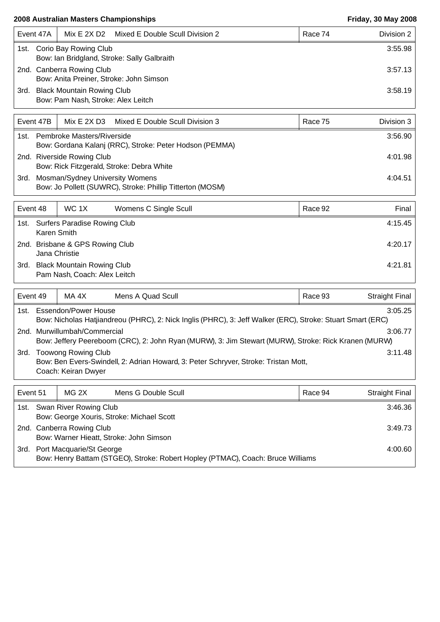|      | Event 47A                                                            |                                                                       | Mix E 2X D2 Mixed E Double Scull Division 2 | Race 74 | Division 2 |
|------|----------------------------------------------------------------------|-----------------------------------------------------------------------|---------------------------------------------|---------|------------|
| 1st. |                                                                      | Corio Bay Rowing Club                                                 | Bow: Ian Bridgland, Stroke: Sally Galbraith |         | 3:55.98    |
|      | 2nd. Canberra Rowing Club<br>Bow: Anita Preiner, Stroke: John Simson |                                                                       |                                             | 3:57.13 |            |
|      |                                                                      | 3rd. Black Mountain Rowing Club<br>Bow: Pam Nash, Stroke: Alex Leitch |                                             |         | 3:58.19    |

|      | Mix E 2X D3 Mixed E Double Scull Division 3<br>Event 47B  | Race 75 | Division 3 |
|------|-----------------------------------------------------------|---------|------------|
| 1st. | Pembroke Masters/Riverside                                |         | 3:56.90    |
|      | Bow: Gordana Kalanj (RRC), Stroke: Peter Hodson (PEMMA)   |         |            |
|      | 2nd. Riverside Rowing Club                                |         | 4:01.98    |
|      | Bow: Rick Fitzgerald, Stroke: Debra White                 |         |            |
| 3rd. | Mosman/Sydney University Womens                           |         | 4:04.51    |
|      | Bow: Jo Pollett (SUWRC), Stroke: Phillip Titterton (MOSM) |         |            |

| Event 48 |                                                  | WC 1X                                                             | Womens C Single Scull |  | Race 92 | Final   |
|----------|--------------------------------------------------|-------------------------------------------------------------------|-----------------------|--|---------|---------|
|          | Karen Smith                                      | 1st. Surfers Paradise Rowing Club                                 |                       |  |         | 4:15.45 |
|          | 2nd. Brisbane & GPS Rowing Club<br>Jana Christie |                                                                   |                       |  | 4:20.17 |         |
| 3rd.     |                                                  | <b>Black Mountain Rowing Club</b><br>Pam Nash, Coach: Alex Leitch |                       |  |         | 4:21.81 |

| Event 49 |                                                                                                                                                    | MA 4X | Mens A Quad Scull |  | Race 93 | Straight Final |  |  |
|----------|----------------------------------------------------------------------------------------------------------------------------------------------------|-------|-------------------|--|---------|----------------|--|--|
|          | 1st. Essendon/Power House<br>3:05.25<br>Bow: Nicholas Hatjiandreou (PHRC), 2: Nick Inglis (PHRC), 3: Jeff Walker (ERC), Stroke: Stuart Smart (ERC) |       |                   |  |         |                |  |  |
|          | 2nd. Murwillumbah/Commercial<br>3:06.77<br>Bow: Jeffery Peereboom (CRC), 2: John Ryan (MURW), 3: Jim Stewart (MURW), Stroke: Rick Kranen (MURW)    |       |                   |  |         |                |  |  |
| 3rd.     | <b>Toowong Rowing Club</b><br>Bow: Ben Evers-Swindell, 2: Adrian Howard, 3: Peter Schryver, Stroke: Tristan Mott,<br>Coach: Keiran Dwyer           |       |                   |  |         | 3:11.48        |  |  |

| Event 51 |                                                                          | MG 2X                         | Mens G Double Scull                                                             | Race 94 | <b>Straight Final</b> |
|----------|--------------------------------------------------------------------------|-------------------------------|---------------------------------------------------------------------------------|---------|-----------------------|
|          | 1st. Swan River Rowing Club<br>Bow: George Xouris, Stroke: Michael Scott |                               |                                                                                 |         | 3:46.36               |
|          |                                                                          | 2nd. Canberra Rowing Club     | Bow: Warner Hieatt, Stroke: John Simson                                         |         | 3:49.73               |
|          |                                                                          | 3rd. Port Macquarie/St George | Bow: Henry Battam (STGEO), Stroke: Robert Hopley (PTMAC), Coach: Bruce Williams |         | 4:00.60               |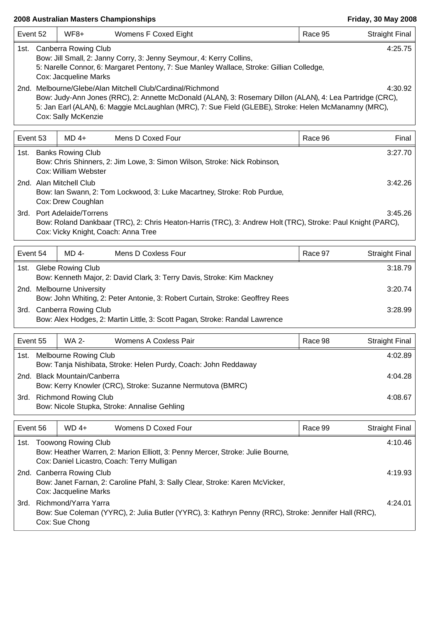| Event 52 | $WF8+$                                                                                                                                                                                                                                                                                                           | Womens F Coxed Eight                                                                                                                                             | Race 95 | <b>Straight Final</b> |  |
|----------|------------------------------------------------------------------------------------------------------------------------------------------------------------------------------------------------------------------------------------------------------------------------------------------------------------------|------------------------------------------------------------------------------------------------------------------------------------------------------------------|---------|-----------------------|--|
|          | 1st. Canberra Rowing Club<br>Cox: Jacqueline Marks                                                                                                                                                                                                                                                               | Bow: Jill Small, 2: Janny Corry, 3: Jenny Seymour, 4: Kerry Collins,<br>5: Narelle Connor, 6: Margaret Pentony, 7: Sue Manley Wallace, Stroke: Gillian Colledge, |         | 4:25.75               |  |
|          | 2nd. Melbourne/Glebe/Alan Mitchell Club/Cardinal/Richmond<br>4:30.92<br>Bow: Judy-Ann Jones (RRC), 2: Annette McDonald (ALAN), 3: Rosemary Dillon (ALAN), 4: Lea Partridge (CRC),<br>5: Jan Earl (ALAN), 6: Maggie McLaughlan (MRC), 7: Sue Field (GLEBE), Stroke: Helen McManamny (MRC),<br>Cox: Sally McKenzie |                                                                                                                                                                  |         |                       |  |
| Event 53 | $MD 4+$                                                                                                                                                                                                                                                                                                          | Mens D Coxed Four                                                                                                                                                | Race 96 | Final                 |  |
|          | 1st. Banks Rowing Club<br>Cox: William Webster                                                                                                                                                                                                                                                                   | Bow: Chris Shinners, 2: Jim Lowe, 3: Simon Wilson, Stroke: Nick Robinson,                                                                                        |         | 3:27.70               |  |
|          | 2nd. Alan Mitchell Club<br>Cox: Drew Coughlan                                                                                                                                                                                                                                                                    | Bow: Ian Swann, 2: Tom Lockwood, 3: Luke Macartney, Stroke: Rob Purdue,                                                                                          |         | 3:42.26               |  |
|          | 3rd. Port Adelaide/Torrens<br>Cox: Vicky Knight, Coach: Anna Tree                                                                                                                                                                                                                                                | Bow: Roland Dankbaar (TRC), 2: Chris Heaton-Harris (TRC), 3: Andrew Holt (TRC), Stroke: Paul Knight (PARC),                                                      |         | 3:45.26               |  |
| Event 54 | MD 4-                                                                                                                                                                                                                                                                                                            | Mens D Coxless Four                                                                                                                                              | Race 97 | <b>Straight Final</b> |  |
|          | 1st. Glebe Rowing Club                                                                                                                                                                                                                                                                                           | Bow: Kenneth Major, 2: David Clark, 3: Terry Davis, Stroke: Kim Mackney                                                                                          |         | 3:18.79               |  |
|          | 2nd. Melbourne University                                                                                                                                                                                                                                                                                        | Bow: John Whiting, 2: Peter Antonie, 3: Robert Curtain, Stroke: Geoffrey Rees                                                                                    |         | 3:20.74               |  |
|          | 3rd. Canberra Rowing Club                                                                                                                                                                                                                                                                                        | Bow: Alex Hodges, 2: Martin Little, 3: Scott Pagan, Stroke: Randal Lawrence                                                                                      |         | 3:28.99               |  |
| Event 55 | <b>WA 2-</b>                                                                                                                                                                                                                                                                                                     | Womens A Coxless Pair                                                                                                                                            | Race 98 | <b>Straight Final</b> |  |
|          | 1st. Melbourne Rowing Club                                                                                                                                                                                                                                                                                       | Bow: Tanja Nishibata, Stroke: Helen Purdy, Coach: John Reddaway                                                                                                  |         | 4:02.89               |  |
|          | 2nd. Black Mountain/Canberra                                                                                                                                                                                                                                                                                     | Bow: Kerry Knowler (CRC), Stroke: Suzanne Nermutova (BMRC)                                                                                                       |         | 4:04.28               |  |
|          | 3rd. Richmond Rowing Club                                                                                                                                                                                                                                                                                        | Bow: Nicole Stupka, Stroke: Annalise Gehling                                                                                                                     |         | 4:08.67               |  |
|          |                                                                                                                                                                                                                                                                                                                  |                                                                                                                                                                  |         |                       |  |

| Event 56 | $WD 4+$                                            | Womens D Coxed Four                                                                                                           | Race 99 | Straight Final |
|----------|----------------------------------------------------|-------------------------------------------------------------------------------------------------------------------------------|---------|----------------|
| 1st.     | Toowong Rowing Club                                | Bow: Heather Warren, 2: Marion Elliott, 3: Penny Mercer, Stroke: Julie Bourne,<br>Cox: Daniel Licastro, Coach: Terry Mulligan |         | 4:10.46        |
|          | 2nd. Canberra Rowing Club<br>Cox: Jacqueline Marks | Bow: Janet Farnan, 2: Caroline Pfahl, 3: Sally Clear, Stroke: Karen McVicker,                                                 |         | 4:19.93        |
| 3rd.     | Richmond/Yarra Yarra<br>Cox: Sue Chong             | Bow: Sue Coleman (YYRC), 2: Julia Butler (YYRC), 3: Kathryn Penny (RRC), Stroke: Jennifer Hall (RRC),                         |         | 4:24.01        |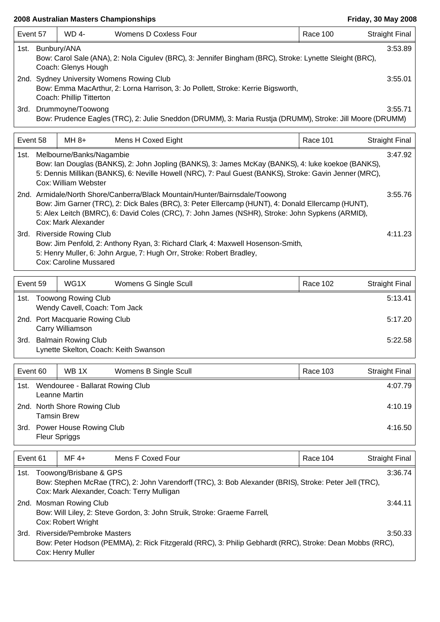| Event 57 |                                                                                                                                                                                                                                                                                                                         | <b>WD 4-</b>                                                | <b>Womens D Coxless Four</b>                                                                                                                            | Race 100        | <b>Straight Final</b> |  |  |
|----------|-------------------------------------------------------------------------------------------------------------------------------------------------------------------------------------------------------------------------------------------------------------------------------------------------------------------------|-------------------------------------------------------------|---------------------------------------------------------------------------------------------------------------------------------------------------------|-----------------|-----------------------|--|--|
|          | 3:53.89<br>1st. Bunbury/ANA<br>Bow: Carol Sale (ANA), 2: Nola Cigulev (BRC), 3: Jennifer Bingham (BRC), Stroke: Lynette Sleight (BRC),<br>Coach: Glenys Hough                                                                                                                                                           |                                                             |                                                                                                                                                         |                 |                       |  |  |
|          | <b>Sydney University Womens Rowing Club</b><br>3:55.01<br>2nd.<br>Bow: Emma MacArthur, 2: Lorna Harrison, 3: Jo Pollett, Stroke: Kerrie Bigsworth,<br>Coach: Phillip Titterton                                                                                                                                          |                                                             |                                                                                                                                                         |                 |                       |  |  |
| 3rd.     |                                                                                                                                                                                                                                                                                                                         | Drummoyne/Toowong                                           | Bow: Prudence Eagles (TRC), 2: Julie Sneddon (DRUMM), 3: Maria Rustja (DRUMM), Stroke: Jill Moore (DRUMM)                                               |                 | 3:55.71               |  |  |
| Event 58 |                                                                                                                                                                                                                                                                                                                         | $MH 8+$                                                     | Mens H Coxed Eight                                                                                                                                      | <b>Race 101</b> | <b>Straight Final</b> |  |  |
| 1st.     | 3:47.92<br>Melbourne/Banks/Nagambie<br>Bow: Ian Douglas (BANKS), 2: John Jopling (BANKS), 3: James McKay (BANKS), 4: luke koekoe (BANKS),<br>5: Dennis Millikan (BANKS), 6: Neville Howell (NRC), 7: Paul Guest (BANKS), Stroke: Gavin Jenner (MRC),<br>Cox: William Webster                                            |                                                             |                                                                                                                                                         |                 |                       |  |  |
|          | 2nd. Armidale/North Shore/Canberra/Black Mountain/Hunter/Bairnsdale/Toowong<br>3:55.76<br>Bow: Jim Garner (TRC), 2: Dick Bales (BRC), 3: Peter Ellercamp (HUNT), 4: Donald Ellercamp (HUNT),<br>5: Alex Leitch (BMRC), 6: David Coles (CRC), 7: John James (NSHR), Stroke: John Sypkens (ARMID),<br>Cox: Mark Alexander |                                                             |                                                                                                                                                         |                 |                       |  |  |
|          |                                                                                                                                                                                                                                                                                                                         | 3rd. Riverside Rowing Club<br><b>Cox: Caroline Mussared</b> | Bow: Jim Penfold, 2: Anthony Ryan, 3: Richard Clark, 4: Maxwell Hosenson-Smith,<br>5: Henry Muller, 6: John Argue, 7: Hugh Orr, Stroke: Robert Bradley, |                 | 4:11.23               |  |  |

| Event 59 |                                                     | WG <sub>1X</sub>                                                    | Womens G Single Scull | Race 102 | Straight Final |
|----------|-----------------------------------------------------|---------------------------------------------------------------------|-----------------------|----------|----------------|
| 1st.     |                                                     | <b>Toowong Rowing Club</b><br>Wendy Cavell, Coach: Tom Jack         |                       |          | 5:13.41        |
|          | 2nd. Port Macquarie Rowing Club<br>Carry Williamson |                                                                     |                       |          | 5:17.20        |
| 3rd.     |                                                     | <b>Balmain Rowing Club</b><br>Lynette Skelton, Coach: Keith Swanson |                       |          | 5:22.58        |

| Event 60 |                                                              | WB <sub>1X</sub><br>Womens B Single Scull | Race 103 | Straight Final |
|----------|--------------------------------------------------------------|-------------------------------------------|----------|----------------|
| 1st.     | Wendouree - Ballarat Rowing Club<br>4:07.79<br>Leanne Martin |                                           |          |                |
|          | 2nd. North Shore Rowing Club<br><b>Tamsin Brew</b>           |                                           |          |                |
| 3rd.     | <b>Fleur Spriggs</b>                                         | <b>Power House Rowing Club</b>            |          | 4:16.50        |

| Event 61 | $MF 4+$                                         | Mens F Coxed Four                                                                                                                                    | Race 104 | <b>Straight Final</b> |
|----------|-------------------------------------------------|------------------------------------------------------------------------------------------------------------------------------------------------------|----------|-----------------------|
| 1st.     | Toowong/Brisbane & GPS                          | Bow: Stephen McRae (TRC), 2: John Varendorff (TRC), 3: Bob Alexander (BRIS), Stroke: Peter Jell (TRC),<br>Cox: Mark Alexander, Coach: Terry Mulligan |          | 3:36.74               |
|          | 2nd. Mosman Rowing Club<br>Cox: Robert Wright   | Bow: Will Liley, 2: Steve Gordon, 3: John Struik, Stroke: Graeme Farrell,                                                                            |          | 3:44.11               |
| 3rd.     | Riverside/Pembroke Masters<br>Cox: Henry Muller | Bow: Peter Hodson (PEMMA), 2: Rick Fitzgerald (RRC), 3: Philip Gebhardt (RRC), Stroke: Dean Mobbs (RRC),                                             |          | 3:50.33               |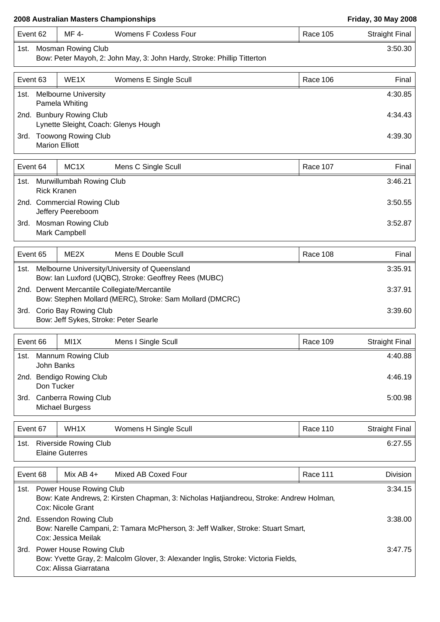|          |                                                   | 2008 Australian Masters Championships                                                                     |                 | <b>Friday, 30 May 2008</b> |
|----------|---------------------------------------------------|-----------------------------------------------------------------------------------------------------------|-----------------|----------------------------|
| Event 62 | MF 4-                                             | <b>Womens F Coxless Four</b>                                                                              | <b>Race 105</b> | <b>Straight Final</b>      |
|          | 1st. Mosman Rowing Club                           | Bow: Peter Mayoh, 2: John May, 3: John Hardy, Stroke: Phillip Titterton                                   |                 | 3:50.30                    |
| Event 63 | WE1X                                              | Womens E Single Scull                                                                                     | Race 106        | Final                      |
| 1st.     | <b>Melbourne University</b><br>Pamela Whiting     |                                                                                                           |                 | 4:30.85                    |
|          | 2nd. Bunbury Rowing Club                          | Lynette Sleight, Coach: Glenys Hough                                                                      |                 | 4:34.43                    |
|          | 3rd. Toowong Rowing Club<br><b>Marion Elliott</b> |                                                                                                           |                 | 4:39.30                    |
| Event 64 | MC <sub>1</sub> X                                 | Mens C Single Scull                                                                                       | Race 107        | Final                      |
| 1st.     | Murwillumbah Rowing Club<br><b>Rick Kranen</b>    |                                                                                                           |                 | 3:46.21                    |
|          | 2nd. Commercial Rowing Club<br>Jeffery Peereboom  |                                                                                                           |                 | 3:50.55                    |
| 3rd.     | <b>Mosman Rowing Club</b><br>Mark Campbell        |                                                                                                           |                 | 3:52.87                    |
| Event 65 | ME <sub>2</sub> X                                 | Mens E Double Scull                                                                                       | Race 108        | Final                      |
| 1st.     |                                                   | Melbourne University/University of Queensland<br>Bow: Ian Luxford (UQBC), Stroke: Geoffrey Rees (MUBC)    |                 | 3:35.91                    |
|          |                                                   | 2nd. Derwent Mercantile Collegiate/Mercantile<br>Bow: Stephen Mollard (MERC), Stroke: Sam Mollard (DMCRC) |                 | 3:37.91                    |
|          | 3rd. Corio Bay Rowing Club                        | Bow: Jeff Sykes, Stroke: Peter Searle                                                                     |                 | 3:39.60                    |

| Event 66 |            | MI1X                                    | Mens I Single Scull | Race 109 | Straight Final |
|----------|------------|-----------------------------------------|---------------------|----------|----------------|
| 1st.     | John Banks | <b>Mannum Rowing Club</b>               |                     |          | 4:40.88        |
|          | Don Tucker | 2nd. Bendigo Rowing Club                |                     |          | 4:46.19        |
| 3rd.     |            | Canberra Rowing Club<br>Michael Burgess |                     |          | 5:00.98        |

| Event 67 | WH1X                                            | Womens H Single Scull | Race 110 | Straight Final |
|----------|-------------------------------------------------|-----------------------|----------|----------------|
| 1st.     | Riverside Rowing Club<br><b>Elaine Guterres</b> |                       |          | 6:27.55        |

| Event 68 | Mix AB $4+$                                       | Mixed AB Coxed Four                                                                     | Race 111 | Division |
|----------|---------------------------------------------------|-----------------------------------------------------------------------------------------|----------|----------|
| 1st.     | Power House Rowing Club<br>Cox: Nicole Grant      | Bow: Kate Andrews, 2: Kirsten Chapman, 3: Nicholas Hatjiandreou, Stroke: Andrew Holman, |          | 3:34.15  |
|          | 2nd. Essendon Rowing Club<br>Cox: Jessica Meilak  | Bow: Narelle Campani, 2: Tamara McPherson, 3: Jeff Walker, Stroke: Stuart Smart,        |          | 3:38.00  |
| 3rd.     | Power House Rowing Club<br>Cox: Alissa Giarratana | Bow: Yvette Gray, 2: Malcolm Glover, 3: Alexander Inglis, Stroke: Victoria Fields,      |          | 3:47.75  |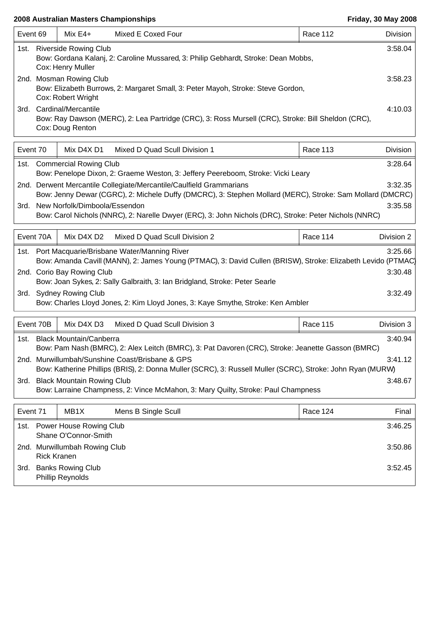| Event 69 |                                                                                                                                                    | Mix $E4+$                                            | Mixed E Coxed Four                                                                                           | Race 112        | Division   |  |
|----------|----------------------------------------------------------------------------------------------------------------------------------------------------|------------------------------------------------------|--------------------------------------------------------------------------------------------------------------|-----------------|------------|--|
| 1st.     | <b>Riverside Rowing Club</b><br>3:58.04<br>Bow: Gordana Kalanj, 2: Caroline Mussared, 3: Philip Gebhardt, Stroke: Dean Mobbs,<br>Cox: Henry Muller |                                                      |                                                                                                              |                 |            |  |
|          |                                                                                                                                                    | 2nd. Mosman Rowing Club<br>Cox: Robert Wright        | Bow: Elizabeth Burrows, 2: Margaret Small, 3: Peter Mayoh, Stroke: Steve Gordon,                             |                 | 3:58.23    |  |
|          |                                                                                                                                                    | 3rd. Cardinal/Mercantile<br>Cox: Doug Renton         | Bow: Ray Dawson (MERC), 2: Lea Partridge (CRC), 3: Ross Mursell (CRC), Stroke: Bill Sheldon (CRC),           |                 | 4:10.03    |  |
| Event 70 |                                                                                                                                                    | Mix D4X D1                                           | Mixed D Quad Scull Division 1                                                                                | Race 113        | Division   |  |
|          |                                                                                                                                                    | 1st. Commercial Rowing Club                          | Bow: Penelope Dixon, 2: Graeme Weston, 3: Jeffery Peereboom, Stroke: Vicki Leary                             |                 | 3:28.64    |  |
|          |                                                                                                                                                    |                                                      | 2nd. Derwent Mercantile Collegiate/Mercantile/Caulfield Grammarians                                          |                 | 3:32.35    |  |
|          |                                                                                                                                                    |                                                      | Bow: Jenny Dewar (CGRC), 2: Michele Duffy (DMCRC), 3: Stephen Mollard (MERC), Stroke: Sam Mollard (DMCRC)    |                 |            |  |
| 3rd.     |                                                                                                                                                    | New Norfolk/Dimboola/Essendon                        | Bow: Carol Nichols (NNRC), 2: Narelle Dwyer (ERC), 3: John Nichols (DRC), Stroke: Peter Nichols (NNRC)       |                 | 3:35.58    |  |
|          | Event 70A                                                                                                                                          | Mix D4X D2                                           | Mixed D Quad Scull Division 2                                                                                | Race 114        | Division 2 |  |
| 1st.     |                                                                                                                                                    |                                                      | Port Macquarie/Brisbane Water/Manning River                                                                  |                 | 3:25.66    |  |
|          |                                                                                                                                                    | 2nd. Corio Bay Rowing Club                           | Bow: Amanda Cavill (MANN), 2: James Young (PTMAC), 3: David Cullen (BRISW), Stroke: Elizabeth Levido (PTMAC) |                 | 3:30.48    |  |
|          |                                                                                                                                                    |                                                      | Bow: Joan Sykes, 2: Sally Galbraith, 3: Ian Bridgland, Stroke: Peter Searle                                  |                 |            |  |
|          |                                                                                                                                                    | 3rd. Sydney Rowing Club                              |                                                                                                              |                 | 3:32.49    |  |
|          |                                                                                                                                                    |                                                      | Bow: Charles Lloyd Jones, 2: Kim Lloyd Jones, 3: Kaye Smythe, Stroke: Ken Ambler                             |                 |            |  |
|          | Event 70B                                                                                                                                          | Mix D4X D3                                           | Mixed D Quad Scull Division 3                                                                                | <b>Race 115</b> | Division 3 |  |
| 1st.     |                                                                                                                                                    | <b>Black Mountain/Canberra</b>                       | Bow: Pam Nash (BMRC), 2: Alex Leitch (BMRC), 3: Pat Davoren (CRC), Stroke: Jeanette Gasson (BMRC)            |                 | 3:40.94    |  |
|          |                                                                                                                                                    |                                                      | 2nd. Murwillumbah/Sunshine Coast/Brisbane & GPS                                                              |                 | 3:41.12    |  |
|          |                                                                                                                                                    |                                                      | Bow: Katherine Phillips (BRIS), 2: Donna Muller (SCRC), 3: Russell Muller (SCRC), Stroke: John Ryan (MURW)   |                 |            |  |
|          |                                                                                                                                                    | 3rd. Black Mountain Rowing Club                      | Bow: Larraine Champness, 2: Vince McMahon, 3: Mary Quilty, Stroke: Paul Champness                            |                 | 3:48.67    |  |
|          |                                                                                                                                                    |                                                      |                                                                                                              |                 |            |  |
| Event 71 |                                                                                                                                                    | MB1X                                                 | Mens B Single Scull                                                                                          | Race 124        | Final      |  |
|          |                                                                                                                                                    | 1st. Power House Rowing Club<br>Shane O'Connor-Smith |                                                                                                              |                 | 3:46.25    |  |
|          | <b>Rick Kranen</b>                                                                                                                                 | 2nd. Murwillumbah Rowing Club                        |                                                                                                              |                 | 3:50.86    |  |
| 3rd.     |                                                                                                                                                    | <b>Banks Rowing Club</b><br>Phillip Reynolds         |                                                                                                              |                 | 3:52.45    |  |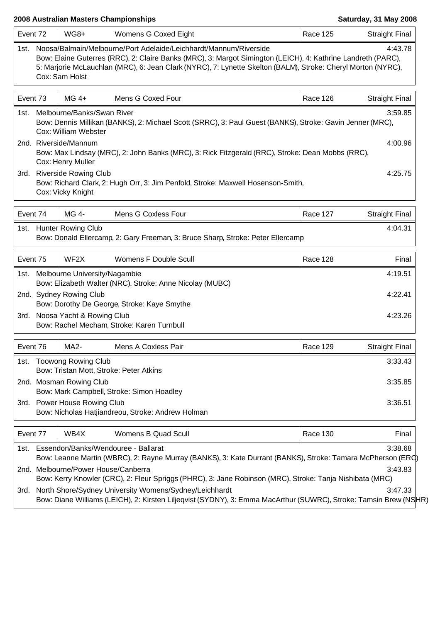| Event 72 | WG8+                                               | Womens G Coxed Eight                                                                                                                                                                                                                                                                              | <b>Race 125</b> | <b>Straight Final</b> |
|----------|----------------------------------------------------|---------------------------------------------------------------------------------------------------------------------------------------------------------------------------------------------------------------------------------------------------------------------------------------------------|-----------------|-----------------------|
| 1st. l   | Cox: Sam Holst                                     | Noosa/Balmain/Melbourne/Port Adelaide/Leichhardt/Mannum/Riverside<br>Bow: Elaine Guterres (RRC), 2: Claire Banks (MRC), 3: Margot Simington (LEICH), 4: Kathrine Landreth (PARC),<br>5: Marjorie McLauchlan (MRC), 6: Jean Clark (NYRC), 7: Lynette Skelton (BALM), Stroke: Cheryl Morton (NYRC), |                 | 4:43.78               |
| Event 73 | $MG$ 4+                                            | Mens G Coxed Four                                                                                                                                                                                                                                                                                 | Race 126        | <b>Straight Final</b> |
| 1st.     | Melbourne/Banks/Swan River<br>Cox: William Webster | Bow: Dennis Millikan (BANKS), 2: Michael Scott (SRRC), 3: Paul Guest (BANKS), Stroke: Gavin Jenner (MRC),                                                                                                                                                                                         |                 | 3:59.85               |
|          | 2nd. Riverside/Mannum<br>Cox: Henry Muller         | Bow: Max Lindsay (MRC), 2: John Banks (MRC), 3: Rick Fitzgerald (RRC), Stroke: Dean Mobbs (RRC),                                                                                                                                                                                                  |                 | 4:00.96               |
|          | 3rd. Riverside Rowing Club<br>Cox: Vicky Knight    | Bow: Richard Clark, 2: Hugh Orr, 3: Jim Penfold, Stroke: Maxwell Hosenson-Smith,                                                                                                                                                                                                                  |                 | 4:25.75               |
| Event 74 | MG 4-                                              | Mens G Coxless Four                                                                                                                                                                                                                                                                               | <b>Race 127</b> | <b>Straight Final</b> |
|          | 1st. Hunter Rowing Club                            | Bow: Donald Ellercamp, 2: Gary Freeman, 3: Bruce Sharp, Stroke: Peter Ellercamp                                                                                                                                                                                                                   |                 | 4:04.31               |
| Event 75 | WF <sub>2</sub> X                                  | Womens F Double Scull                                                                                                                                                                                                                                                                             | Race 128        | Final                 |
|          | 1st. Melbourne University/Nagambie                 | Bow: Elizabeth Walter (NRC), Stroke: Anne Nicolay (MUBC)                                                                                                                                                                                                                                          |                 | 4:19.51               |
|          | 2nd. Sydney Rowing Club                            | Bow: Dorothy De George, Stroke: Kaye Smythe                                                                                                                                                                                                                                                       |                 | 4:22.41               |
|          | 3rd. Noosa Yacht & Rowing Club                     | Bow: Rachel Mecham, Stroke: Karen Turnbull                                                                                                                                                                                                                                                        |                 | 4:23.26               |
| Event 76 | MA <sub>2</sub> -                                  | Mens A Coxless Pair                                                                                                                                                                                                                                                                               | Race 129        | <b>Straight Final</b> |
|          | 1st. Toowong Rowing Club                           | Bow: Tristan Mott, Stroke: Peter Atkins                                                                                                                                                                                                                                                           |                 | 3:33.43               |
|          | 2nd. Mosman Rowing Club                            | Bow: Mark Campbell, Stroke: Simon Hoadley                                                                                                                                                                                                                                                         |                 | 3:35.85               |
|          | 3rd. Power House Rowing Club                       | Bow: Nicholas Hatjiandreou, Stroke: Andrew Holman                                                                                                                                                                                                                                                 |                 | 3:36.51               |
| Event 77 | WB4X                                               | <b>Womens B Quad Scull</b>                                                                                                                                                                                                                                                                        | Race 130        | Final                 |
|          |                                                    | 1st. Essendon/Banks/Wendouree - Ballarat<br>Bow: Leanne Martin (WBRC), 2: Rayne Murray (BANKS), 3: Kate Durrant (BANKS), Stroke: Tamara McPherson (ERC)                                                                                                                                           |                 | 3:38.68               |
|          | 2nd. Melbourne/Power House/Canberra                | Bow: Kerry Knowler (CRC), 2: Fleur Spriggs (PHRC), 3: Jane Robinson (MRC), Stroke: Tanja Nishibata (MRC)                                                                                                                                                                                          |                 | 3:43.83               |
|          |                                                    | 3rd. North Shore/Sydney University Womens/Sydney/Leichhardt<br>Bow: Diane Williams (LEICH), 2: Kirsten Liljeqvist (SYDNY), 3: Emma MacArthur (SUWRC), Stroke: Tamsin Brew (NSHR)                                                                                                                  |                 | 3:47.33               |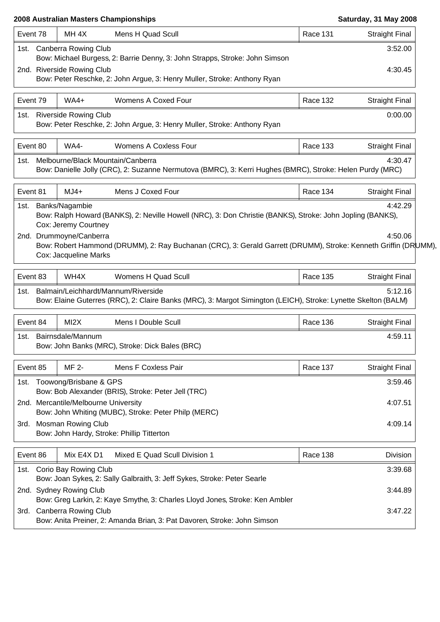| MH <sub>4X</sub><br>Race 131<br>Mens H Quad Scull                                                                                                                                   | <b>Straight Final</b> |
|-------------------------------------------------------------------------------------------------------------------------------------------------------------------------------------|-----------------------|
| 1st. Canberra Rowing Club<br>Bow: Michael Burgess, 2: Barrie Denny, 3: John Strapps, Stroke: John Simson                                                                            | 3:52.00               |
| 2nd. Riverside Rowing Club<br>Bow: Peter Reschke, 2: John Argue, 3: Henry Muller, Stroke: Anthony Ryan                                                                              | 4:30.45               |
| $WA4+$<br>Womens A Coxed Four<br>Race 132                                                                                                                                           | <b>Straight Final</b> |
| <b>Riverside Rowing Club</b><br>Bow: Peter Reschke, 2: John Argue, 3: Henry Muller, Stroke: Anthony Ryan                                                                            | 0:00.00               |
| WA4-<br><b>Womens A Coxless Four</b><br><b>Race 133</b>                                                                                                                             | <b>Straight Final</b> |
| Melbourne/Black Mountain/Canberra<br>Bow: Danielle Jolly (CRC), 2: Suzanne Nermutova (BMRC), 3: Kerri Hughes (BMRC), Stroke: Helen Purdy (MRC)                                      | 4:30.47               |
| Mens J Coxed Four<br>$MJ4+$<br>Race 134                                                                                                                                             | <b>Straight Final</b> |
| 1st. Banks/Nagambie<br>Bow: Ralph Howard (BANKS), 2: Neville Howell (NRC), 3: Don Christie (BANKS), Stroke: John Jopling (BANKS),<br>Cox: Jeremy Courtney                           | 4:42.29               |
| 2nd. Drummoyne/Canberra                                                                                                                                                             | 4:50.06               |
| Bow: Robert Hammond (DRUMM), 2: Ray Buchanan (CRC), 3: Gerald Garrett (DRUMM), Stroke: Kenneth Griffin (DRUMM),<br>Cox: Jacqueline Marks                                            |                       |
| WH4X<br>Womens H Quad Scull<br><b>Race 135</b>                                                                                                                                      | <b>Straight Final</b> |
| Balmain/Leichhardt/Mannum/Riverside<br>Bow: Elaine Guterres (RRC), 2: Claire Banks (MRC), 3: Margot Simington (LEICH), Stroke: Lynette Skelton (BALM)                               | 5:12.16               |
| MI2X<br>Mens I Double Scull<br>Race 136                                                                                                                                             | <b>Straight Final</b> |
| Bairnsdale/Mannum<br>Bow: John Banks (MRC), Stroke: Dick Bales (BRC)                                                                                                                | 4:59.11               |
| Mens F Coxless Pair<br>Race 137<br>MF 2-                                                                                                                                            | <b>Straight Final</b> |
| Toowong/Brisbane & GPS                                                                                                                                                              | 3:59.46               |
| Bow: Bob Alexander (BRIS), Stroke: Peter Jell (TRC)<br>2nd. Mercantile/Melbourne University                                                                                         | 4:07.51               |
| Bow: John Whiting (MUBC), Stroke: Peter Philp (MERC)<br>3rd. Mosman Rowing Club<br>Bow: John Hardy, Stroke: Phillip Titterton                                                       | 4:09.14               |
| Mix E4X D1<br>Mixed E Quad Scull Division 1<br>Race 138                                                                                                                             | Division              |
| 1st. Corio Bay Rowing Club                                                                                                                                                          | 3:39.68               |
| Bow: Joan Sykes, 2: Sally Galbraith, 3: Jeff Sykes, Stroke: Peter Searle<br>2nd. Sydney Rowing Club<br>Bow: Greg Larkin, 2: Kaye Smythe, 3: Charles Lloyd Jones, Stroke: Ken Ambler | 3:44.89               |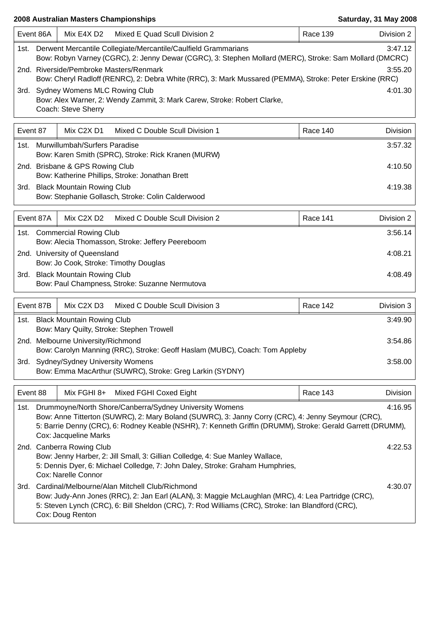|          | Event 86A                                                                                                                                                                            | Mix E4X D2                           | Mixed E Quad Scull Division 2                                                                                                                                                                                                                                                | Race 139 | Division 2 |  |
|----------|--------------------------------------------------------------------------------------------------------------------------------------------------------------------------------------|--------------------------------------|------------------------------------------------------------------------------------------------------------------------------------------------------------------------------------------------------------------------------------------------------------------------------|----------|------------|--|
| 1st.     | Derwent Mercantile Collegiate/Mercantile/Caulfield Grammarians<br>3:47.12<br>Bow: Robyn Varney (CGRC), 2: Jenny Dewar (CGRC), 3: Stephen Mollard (MERC), Stroke: Sam Mollard (DMCRC) |                                      |                                                                                                                                                                                                                                                                              |          |            |  |
|          |                                                                                                                                                                                      |                                      | 2nd. Riverside/Pembroke Masters/Renmark<br>Bow: Cheryl Radloff (RENRC), 2: Debra White (RRC), 3: Mark Mussared (PEMMA), Stroke: Peter Erskine (RRC)                                                                                                                          |          | 3:55.20    |  |
|          |                                                                                                                                                                                      | 3rd. Sydney Womens MLC Rowing Club   |                                                                                                                                                                                                                                                                              |          | 4:01.30    |  |
|          |                                                                                                                                                                                      | Coach: Steve Sherry                  | Bow: Alex Warner, 2: Wendy Zammit, 3: Mark Carew, Stroke: Robert Clarke,                                                                                                                                                                                                     |          |            |  |
| Event 87 |                                                                                                                                                                                      | Mix C2X D1                           | Mixed C Double Scull Division 1                                                                                                                                                                                                                                              | Race 140 | Division   |  |
|          |                                                                                                                                                                                      | 1st. Murwillumbah/Surfers Paradise   | Bow: Karen Smith (SPRC), Stroke: Rick Kranen (MURW)                                                                                                                                                                                                                          |          | 3:57.32    |  |
|          |                                                                                                                                                                                      | 2nd. Brisbane & GPS Rowing Club      | Bow: Katherine Phillips, Stroke: Jonathan Brett                                                                                                                                                                                                                              |          | 4:10.50    |  |
|          |                                                                                                                                                                                      | 3rd. Black Mountain Rowing Club      |                                                                                                                                                                                                                                                                              |          | 4:19.38    |  |
|          |                                                                                                                                                                                      |                                      | Bow: Stephanie Gollasch, Stroke: Colin Calderwood                                                                                                                                                                                                                            |          |            |  |
|          | Event 87A                                                                                                                                                                            | Mix C2X D2                           | Mixed C Double Scull Division 2                                                                                                                                                                                                                                              | Race 141 | Division 2 |  |
|          |                                                                                                                                                                                      | 1st. Commercial Rowing Club          | Bow: Alecia Thomasson, Stroke: Jeffery Peereboom                                                                                                                                                                                                                             |          | 3:56.14    |  |
|          |                                                                                                                                                                                      | 2nd. University of Queensland        | Bow: Jo Cook, Stroke: Timothy Douglas                                                                                                                                                                                                                                        |          | 4:08.21    |  |
|          |                                                                                                                                                                                      | 3rd. Black Mountain Rowing Club      |                                                                                                                                                                                                                                                                              |          | 4:08.49    |  |
|          |                                                                                                                                                                                      |                                      | Bow: Paul Champness, Stroke: Suzanne Nermutova                                                                                                                                                                                                                               |          |            |  |
|          | Event 87B                                                                                                                                                                            | Mix C2X D3                           | Mixed C Double Scull Division 3                                                                                                                                                                                                                                              | Race 142 | Division 3 |  |
| 1st.     |                                                                                                                                                                                      | <b>Black Mountain Rowing Club</b>    | Bow: Mary Quilty, Stroke: Stephen Trowell                                                                                                                                                                                                                                    |          | 3:49.90    |  |
|          |                                                                                                                                                                                      | 2nd. Melbourne University/Richmond   | Bow: Carolyn Manning (RRC), Stroke: Geoff Haslam (MUBC), Coach: Tom Appleby                                                                                                                                                                                                  |          | 3:54.86    |  |
|          |                                                                                                                                                                                      | 3rd. Sydney/Sydney University Womens | Bow: Emma MacArthur (SUWRC), Stroke: Greg Larkin (SYDNY)                                                                                                                                                                                                                     |          | 3:58.00    |  |
|          |                                                                                                                                                                                      |                                      |                                                                                                                                                                                                                                                                              |          |            |  |
| Event 88 |                                                                                                                                                                                      | Mix FGHI 8+                          | Mixed FGHI Coxed Eight                                                                                                                                                                                                                                                       | Race 143 | Division   |  |
| 1st.     |                                                                                                                                                                                      | Cox: Jacqueline Marks                | Drummoyne/North Shore/Canberra/Sydney University Womens<br>Bow: Anne Titterton (SUWRC), 2: Mary Boland (SUWRC), 3: Janny Corry (CRC), 4: Jenny Seymour (CRC),<br>5: Barrie Denny (CRC), 6: Rodney Keable (NSHR), 7: Kenneth Griffin (DRUMM), Stroke: Gerald Garrett (DRUMM), |          | 4:16.95    |  |
|          |                                                                                                                                                                                      | 2nd. Canberra Rowing Club            |                                                                                                                                                                                                                                                                              |          | 4:22.53    |  |
|          |                                                                                                                                                                                      | Cox: Narelle Connor                  | Bow: Jenny Harber, 2: Jill Small, 3: Gillian Colledge, 4: Sue Manley Wallace,<br>5: Dennis Dyer, 6: Michael Colledge, 7: John Daley, Stroke: Graham Humphries,                                                                                                               |          |            |  |
| 3rd.     |                                                                                                                                                                                      | Cox: Doug Renton                     | Cardinal/Melbourne/Alan Mitchell Club/Richmond<br>Bow: Judy-Ann Jones (RRC), 2: Jan Earl (ALAN), 3: Maggie McLaughlan (MRC), 4: Lea Partridge (CRC),<br>5: Steven Lynch (CRC), 6: Bill Sheldon (CRC), 7: Rod Williams (CRC), Stroke: Ian Blandford (CRC),                    |          | 4:30.07    |  |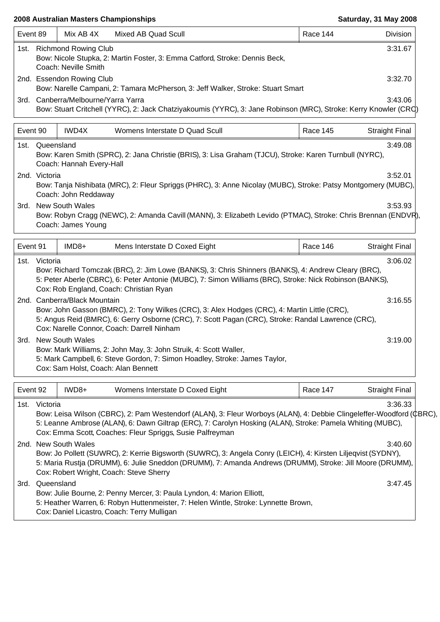| Event 89 |                 | Mix AB 4X                                         | Mixed AB Quad Scull                                                                                                                                                                                                                                                                             | Race 144 | Division              |
|----------|-----------------|---------------------------------------------------|-------------------------------------------------------------------------------------------------------------------------------------------------------------------------------------------------------------------------------------------------------------------------------------------------|----------|-----------------------|
|          |                 | 1st. Richmond Rowing Club<br>Coach: Neville Smith | Bow: Nicole Stupka, 2: Martin Foster, 3: Emma Catford, Stroke: Dennis Beck,                                                                                                                                                                                                                     |          | 3:31.67               |
|          |                 | 2nd. Essendon Rowing Club                         | Bow: Narelle Campani, 2: Tamara McPherson, 3: Jeff Walker, Stroke: Stuart Smart                                                                                                                                                                                                                 |          | 3:32.70               |
|          |                 | 3rd. Canberra/Melbourne/Yarra Yarra               | Bow: Stuart Critchell (YYRC), 2: Jack Chatziyakoumis (YYRC), 3: Jane Robinson (MRC), Stroke: Kerry Knowler (CRC)                                                                                                                                                                                |          | 3:43.06               |
| Event 90 |                 | IWD4X                                             | Womens Interstate D Quad Scull                                                                                                                                                                                                                                                                  | Race 145 | <b>Straight Final</b> |
|          | 1st. Queensland | Coach: Hannah Every-Hall                          | Bow: Karen Smith (SPRC), 2: Jana Christie (BRIS), 3: Lisa Graham (TJCU), Stroke: Karen Turnbull (NYRC),                                                                                                                                                                                         |          | 3:49.08               |
|          | 2nd. Victoria   | Coach: John Reddaway                              | Bow: Tanja Nishibata (MRC), 2: Fleur Spriggs (PHRC), 3: Anne Nicolay (MUBC), Stroke: Patsy Montgomery (MUBC),                                                                                                                                                                                   |          | 3:52.01               |
|          |                 | 3rd. New South Wales<br>Coach: James Young        | Bow: Robyn Cragg (NEWC), 2: Amanda Cavill (MANN), 3: Elizabeth Levido (PTMAC), Stroke: Chris Brennan (ENDVR),                                                                                                                                                                                   |          | 3:53.93               |
| Event 91 |                 | IMD8+                                             | Mens Interstate D Coxed Eight                                                                                                                                                                                                                                                                   | Race 146 | <b>Straight Final</b> |
|          | 1st. Victoria   |                                                   | Bow: Richard Tomczak (BRC), 2: Jim Lowe (BANKS), 3: Chris Shinners (BANKS), 4: Andrew Cleary (BRC),<br>5: Peter Aberle (CBRC), 6: Peter Antonie (MUBC), 7: Simon Williams (BRC), Stroke: Nick Robinson (BANKS),<br>Cox: Rob England, Coach: Christian Ryan                                      |          | 3:06.02               |
|          |                 | 2nd. Canberra/Black Mountain                      | Bow: John Gasson (BMRC), 2: Tony Wilkes (CRC), 3: Alex Hodges (CRC), 4: Martin Little (CRC),<br>5: Angus Reid (BMRC), 6: Gerry Osborne (CRC), 7: Scott Pagan (CRC), Stroke: Randal Lawrence (CRC),<br>Cox: Narelle Connor, Coach: Darrell Ninham                                                |          | 3:16.55               |
|          |                 | 3rd. New South Wales                              | Bow: Mark Williams, 2: John May, 3: John Struik, 4: Scott Waller,<br>5: Mark Campbell, 6: Steve Gordon, 7: Simon Hoadley, Stroke: James Taylor,<br>Cox: Sam Holst, Coach: Alan Bennett                                                                                                          |          | 3:19.00               |
| Event 92 |                 | IWD8+                                             | Womens Interstate D Coxed Eight                                                                                                                                                                                                                                                                 | Race 147 | <b>Straight Final</b> |
| 1st.     | Victoria        |                                                   | Bow: Leisa Wilson (CBRC), 2: Pam Westendorf (ALAN), 3: Fleur Worboys (ALAN), 4: Debbie Clingeleffer-Woodford (CBRC),<br>5: Leanne Ambrose (ALAN), 6: Dawn Giltrap (ERC), 7: Carolyn Hosking (ALAN), Stroke: Pamela Whiting (MUBC),<br>Cox: Emma Scott, Coaches: Fleur Spriggs, Susie Palfreyman |          | 3:36.33               |
|          |                 | 2nd. New South Wales                              | Bow: Jo Pollett (SUWRC), 2: Kerrie Bigsworth (SUWRC), 3: Angela Conry (LEICH), 4: Kirsten Liljeqvist (SYDNY),<br>5: Maria Rustja (DRUMM), 6: Julie Sneddon (DRUMM), 7: Amanda Andrews (DRUMM), Stroke: Jill Moore (DRUMM),<br>Cox: Robert Wright, Coach: Steve Sherry                           |          | 3:40.60               |
|          | 3rd. Queensland |                                                   | Bow: Julie Bourne, 2: Penny Mercer, 3: Paula Lyndon, 4: Marion Elliott,<br>5: Heather Warren, 6: Robyn Huttenmeister, 7: Helen Wintle, Stroke: Lynnette Brown,<br>Cox: Daniel Licastro, Coach: Terry Mulligan                                                                                   |          | 3:47.45               |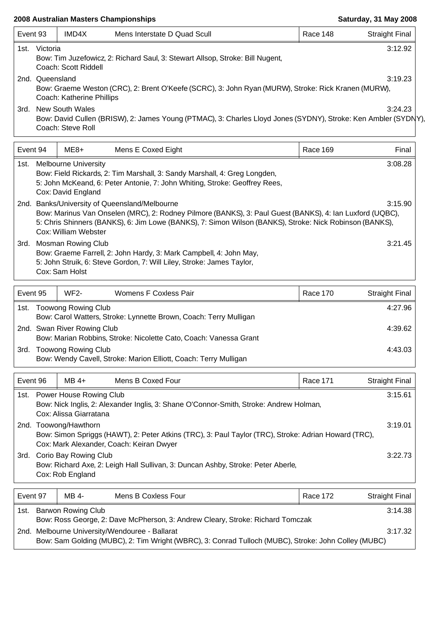|                 |          |                                                        | 2008 Australian Masters Championships                                                                                                                                                                                                                                |                 | Saturday, 31 May 2008 |
|-----------------|----------|--------------------------------------------------------|----------------------------------------------------------------------------------------------------------------------------------------------------------------------------------------------------------------------------------------------------------------------|-----------------|-----------------------|
| Event 93        |          | IMD4X                                                  | Mens Interstate D Quad Scull                                                                                                                                                                                                                                         | Race 148        | <b>Straight Final</b> |
| 1st.            | Victoria | Coach: Scott Riddell                                   | Bow: Tim Juzefowicz, 2: Richard Saul, 3: Stewart Allsop, Stroke: Bill Nugent,                                                                                                                                                                                        |                 | 3:12.92               |
| 2nd. Queensland |          | Coach: Katherine Phillips                              | Bow: Graeme Weston (CRC), 2: Brent O'Keefe (SCRC), 3: John Ryan (MURW), Stroke: Rick Kranen (MURW),                                                                                                                                                                  |                 | 3:19.23               |
|                 |          | 3rd. New South Wales<br>Coach: Steve Roll              | Bow: David Cullen (BRISW), 2: James Young (PTMAC), 3: Charles Lloyd Jones (SYDNY), Stroke: Ken Ambler (SYDNY),                                                                                                                                                       |                 | 3:24.23               |
| Event 94        |          | ME8+                                                   | Mens E Coxed Eight                                                                                                                                                                                                                                                   | Race 169        | Final                 |
| 1st.            |          | <b>Melbourne University</b><br>Cox: David England      | Bow: Field Rickards, 2: Tim Marshall, 3: Sandy Marshall, 4: Greg Longden,<br>5: John McKeand, 6: Peter Antonie, 7: John Whiting, Stroke: Geoffrey Rees,                                                                                                              |                 | 3:08.28               |
|                 |          | Cox: William Webster                                   | 2nd. Banks/University of Queensland/Melbourne<br>Bow: Marinus Van Onselen (MRC), 2: Rodney Pilmore (BANKS), 3: Paul Guest (BANKS), 4: Ian Luxford (UQBC),<br>5: Chris Shinners (BANKS), 6: Jim Lowe (BANKS), 7: Simon Wilson (BANKS), Stroke: Nick Robinson (BANKS), |                 | 3:15.90               |
|                 |          | 3rd. Mosman Rowing Club<br>Cox: Sam Holst              | Bow: Graeme Farrell, 2: John Hardy, 3: Mark Campbell, 4: John May,<br>5: John Struik, 6: Steve Gordon, 7: Will Liley, Stroke: James Taylor,                                                                                                                          |                 | 3:21.45               |
| Event 95        |          | <b>WF2-</b>                                            | Womens F Coxless Pair                                                                                                                                                                                                                                                | Race 170        | <b>Straight Final</b> |
|                 |          | 1st. Toowong Rowing Club                               | Bow: Carol Watters, Stroke: Lynnette Brown, Coach: Terry Mulligan                                                                                                                                                                                                    |                 | 4:27.96               |
|                 |          | 2nd. Swan River Rowing Club                            | Bow: Marian Robbins, Stroke: Nicolette Cato, Coach: Vanessa Grant                                                                                                                                                                                                    |                 | 4:39.62               |
|                 |          | 3rd. Toowong Rowing Club                               | Bow: Wendy Cavell, Stroke: Marion Elliott, Coach: Terry Mulligan                                                                                                                                                                                                     |                 | 4:43.03               |
| Event 96        |          | $MB$ 4+                                                | Mens B Coxed Four                                                                                                                                                                                                                                                    | <b>Race 171</b> | <b>Straight Final</b> |
|                 |          | 1st. Power House Rowing Club<br>Cox: Alissa Giarratana | Bow: Nick Inglis, 2: Alexander Inglis, 3: Shane O'Connor-Smith, Stroke: Andrew Holman,                                                                                                                                                                               |                 | 3:15.61               |
|                 |          | 2nd. Toowong/Hawthorn                                  | Bow: Simon Spriggs (HAWT), 2: Peter Atkins (TRC), 3: Paul Taylor (TRC), Stroke: Adrian Howard (TRC),<br>Cox: Mark Alexander, Coach: Keiran Dwyer                                                                                                                     |                 | 3:19.01               |
|                 |          | 3rd. Corio Bay Rowing Club<br>Cox: Rob England         | Bow: Richard Axe, 2: Leigh Hall Sullivan, 3: Duncan Ashby, Stroke: Peter Aberle,                                                                                                                                                                                     |                 | 3:22.73               |
| $E$ vont 07     |          | MAPA                                                   | Mone B Coviece Four                                                                                                                                                                                                                                                  | <b>Pace 172</b> | Straight Einal        |

| Event 97 |                                      | MB 4- | Mens B Coxless Four                                                                                 |  | Race 172 | Straight Final |
|----------|--------------------------------------|-------|-----------------------------------------------------------------------------------------------------|--|----------|----------------|
| 1st.     | <b>Barwon Rowing Club</b><br>3:14.38 |       |                                                                                                     |  |          |                |
|          |                                      |       | Bow: Ross George, 2: Dave McPherson, 3: Andrew Cleary, Stroke: Richard Tomczak                      |  |          |                |
|          |                                      |       | 2nd. Melbourne University/Wendouree - Ballarat                                                      |  |          | 3:17.32        |
|          |                                      |       | Bow: Sam Golding (MUBC), 2: Tim Wright (WBRC), 3: Conrad Tulloch (MUBC), Stroke: John Colley (MUBC) |  |          |                |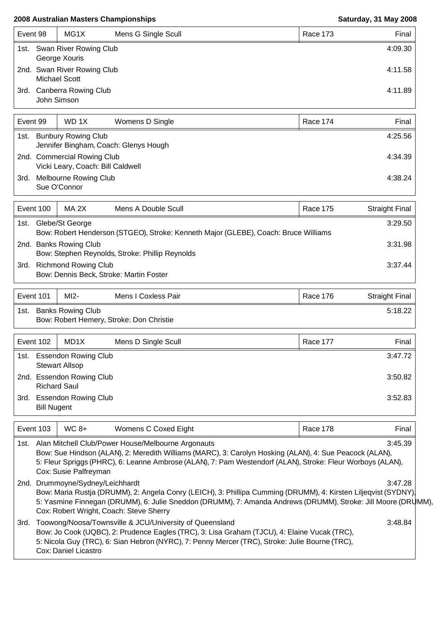| Event 98 |             | MG1X                                                | Mens G Single Scull | Race 173 | Final   |
|----------|-------------|-----------------------------------------------------|---------------------|----------|---------|
|          |             | 1st. Swan River Rowing Club<br>George Xouris        |                     |          | 4:09.30 |
|          |             | 2nd. Swan River Rowing Club<br><b>Michael Scott</b> |                     |          | 4:11.58 |
| 3rd.     | John Simson | <b>Canberra Rowing Club</b>                         |                     |          | 4:11.89 |

| Event 99                                                                    |  | WD 1X<br>Womens D Single                                         | <b>Race 174</b> | Final I |
|-----------------------------------------------------------------------------|--|------------------------------------------------------------------|-----------------|---------|
| <b>Bunbury Rowing Club</b><br>1st.<br>Jennifer Bingham, Coach: Glenys Hough |  |                                                                  | 4:25.56         |         |
|                                                                             |  | 2nd. Commercial Rowing Club<br>Vicki Leary, Coach: Bill Caldwell | 4:34.39         |         |
| 3rd.                                                                        |  | Melbourne Rowing Club<br>Sue O'Connor                            | 4:38.24         |         |

| Event 100 |                                                                                                        | MA 2X                  | Mens A Double Scull                             | Race 175 | <b>Straight Final</b> |
|-----------|--------------------------------------------------------------------------------------------------------|------------------------|-------------------------------------------------|----------|-----------------------|
| 1st.      | Glebe/St George<br>Bow: Robert Henderson (STGEO), Stroke: Kenneth Major (GLEBE), Coach: Bruce Williams |                        |                                                 |          |                       |
|           |                                                                                                        | 2nd. Banks Rowing Club | Bow: Stephen Reynolds, Stroke: Phillip Reynolds |          | 3:31.98               |
| 3rd.      | <b>Richmond Rowing Club</b><br>Bow: Dennis Beck, Stroke: Martin Foster                                 |                        |                                                 |          | 3:37.44               |

| Event 101 | $M12-$                   | Mens I Coxless Pair                      | Race 176 | Straight Final |
|-----------|--------------------------|------------------------------------------|----------|----------------|
| 1st.      | <b>Banks Rowing Club</b> | Bow: Robert Hemery, Stroke: Don Christie |          | 5:18.22        |

| Event 102                  | MD <sub>1</sub> X<br>Mens D Single Scull             |  | Final<br>Race 177 |  |
|----------------------------|------------------------------------------------------|--|-------------------|--|
| 1st.                       | <b>Essendon Rowing Club</b><br><b>Stewart Allsop</b> |  |                   |  |
|                            | 2nd. Essendon Rowing Club<br><b>Richard Saul</b>     |  | 3:50.82           |  |
| 3rd.<br><b>Bill Nugent</b> | <b>Essendon Rowing Club</b>                          |  | 3:52.83           |  |

| Event 103 |                                                                                                                                                                                                                                                                                                                              | $WC 8+$ | Womens C Coxed Eight | Race 178 | Final |  |  |
|-----------|------------------------------------------------------------------------------------------------------------------------------------------------------------------------------------------------------------------------------------------------------------------------------------------------------------------------------|---------|----------------------|----------|-------|--|--|
|           | 3:45.39<br>1st. Alan Mitchell Club/Power House/Melbourne Argonauts<br>Bow: Sue Hindson (ALAN), 2: Meredith Williams (MARC), 3: Carolyn Hosking (ALAN), 4: Sue Peacock (ALAN),<br>5: Fleur Spriggs (PHRC), 6: Leanne Ambrose (ALAN), 7: Pam Westendorf (ALAN), Stroke: Fleur Worboys (ALAN),<br>Cox: Susie Palfreyman         |         |                      |          |       |  |  |
|           | 2nd. Drummoyne/Sydney/Leichhardt<br>3:47.28<br>Bow: Maria Rustja (DRUMM), 2: Angela Conry (LEICH), 3: Phillipa Cumming (DRUMM), 4: Kirsten Liljeqvist (SYDNY),<br>5: Yasmine Finnegan (DRUMM), 6: Julie Sneddon (DRUMM), 7: Amanda Andrews (DRUMM), Stroke: Jill Moore (DRUMM),                                              |         |                      |          |       |  |  |
| 3rd.      | Cox: Robert Wright, Coach: Steve Sherry<br>Toowong/Noosa/Townsville & JCU/University of Queensland<br>Bow: Jo Cook (UQBC), 2: Prudence Eagles (TRC), 3: Lisa Graham (TJCU), 4: Elaine Vucak (TRC),<br>5: Nicola Guy (TRC), 6: Sian Hebron (NYRC), 7: Penny Mercer (TRC), Stroke: Julie Bourne (TRC),<br>Cox: Daniel Licastro |         | 3:48.84              |          |       |  |  |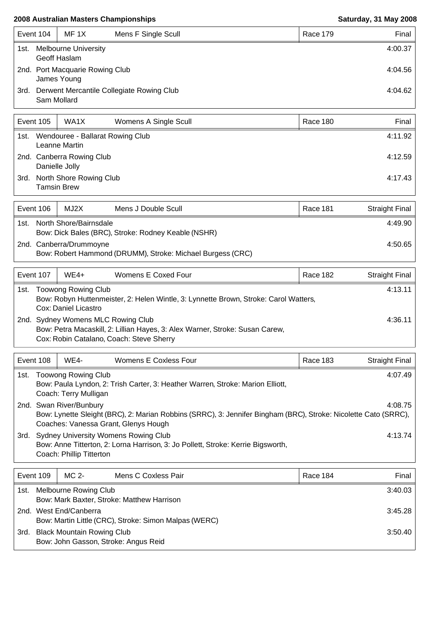| Event 104 |                                                | MF 1X | Mens F Single Scull                       |  | Race 179 | Final   |
|-----------|------------------------------------------------|-------|-------------------------------------------|--|----------|---------|
| 1st.      | <b>Melbourne University</b><br>Geoff Haslam    |       |                                           |  |          | 4:00.37 |
|           | 2nd. Port Macquarie Rowing Club<br>James Young |       |                                           |  |          | 4:04.56 |
| 3rd.      | Sam Mollard                                    |       | Derwent Mercantile Collegiate Rowing Club |  |          | 4:04.62 |

| Event 105                                                 |                                               | WA1X | Womens A Single Scull |         | Race 180 | Final   |
|-----------------------------------------------------------|-----------------------------------------------|------|-----------------------|---------|----------|---------|
| Wendouree - Ballarat Rowing Club<br>1st.<br>Leanne Martin |                                               |      |                       | 4:11.92 |          |         |
|                                                           | 2nd. Canberra Rowing Club<br>Danielle Jolly   |      |                       |         |          | 4:12.59 |
| 3rd.                                                      | North Shore Rowing Club<br><b>Tamsin Brew</b> |      |                       | 4:17.43 |          |         |

|                                                                                       | Event 106                                                                             | MJ2X | Mens J Double Scull |  | Race 181 | <b>Straight Final</b> |
|---------------------------------------------------------------------------------------|---------------------------------------------------------------------------------------|------|---------------------|--|----------|-----------------------|
| North Shore/Bairnsdale<br>1st.<br>Bow: Dick Bales (BRC), Stroke: Rodney Keable (NSHR) |                                                                                       |      |                     |  |          | 4:49.90               |
|                                                                                       | 2nd. Canberra/Drummoyne<br>Bow: Robert Hammond (DRUMM), Stroke: Michael Burgess (CRC) |      |                     |  |          | 4:50.65               |

| Event 107 |                                                                                                                                                                | $WE4+$               | Womens E Coxed Four                                                                  |  | Race 182 | Straight Final |
|-----------|----------------------------------------------------------------------------------------------------------------------------------------------------------------|----------------------|--------------------------------------------------------------------------------------|--|----------|----------------|
| 1st.      | <b>Toowong Rowing Club</b>                                                                                                                                     |                      |                                                                                      |  | 4:13.11  |                |
|           |                                                                                                                                                                | Cox: Daniel Licastro | Bow: Robyn Huttenmeister, 2: Helen Wintle, 3: Lynnette Brown, Stroke: Carol Watters, |  |          |                |
|           | 2nd. Sydney Womens MLC Rowing Club<br>Bow: Petra Macaskill, 2: Lillian Hayes, 3: Alex Warner, Stroke: Susan Carew,<br>Cox: Robin Catalano, Coach: Steve Sherry |                      |                                                                                      |  | 4:36.11  |                |

|                                                                                                                                               | Event 108                                                                                                                                                                                           | <b>WE4-</b>             | <b>Womens E Coxless Four</b>                                                                                    | Race 183 | Straight Final |
|-----------------------------------------------------------------------------------------------------------------------------------------------|-----------------------------------------------------------------------------------------------------------------------------------------------------------------------------------------------------|-------------------------|-----------------------------------------------------------------------------------------------------------------|----------|----------------|
| <b>Toowong Rowing Club</b><br>1st.<br>Bow: Paula Lyndon, 2: Trish Carter, 3: Heather Warren, Stroke: Marion Elliott,<br>Coach: Terry Mulligan |                                                                                                                                                                                                     |                         |                                                                                                                 |          | 4:07.49        |
|                                                                                                                                               |                                                                                                                                                                                                     | 2nd. Swan River/Bunbury | Bow: Lynette Sleight (BRC), 2: Marian Robbins (SRRC), 3: Jennifer Bingham (BRC), Stroke: Nicolette Cato (SRRC), |          | 4:08.75        |
| 3rd.                                                                                                                                          | Coaches: Vanessa Grant, Glenys Hough<br><b>Sydney University Womens Rowing Club</b><br>Bow: Anne Titterton, 2: Lorna Harrison, 3: Jo Pollett, Stroke: Kerrie Bigsworth,<br>Coach: Phillip Titterton |                         |                                                                                                                 | 4:13.74  |                |

| Event 109 |                                                                                 | MC 2-<br>Mens C Coxless Pair | Race 184 | Final   |
|-----------|---------------------------------------------------------------------------------|------------------------------|----------|---------|
| 1st.      | Melbourne Rowing Club<br>Bow: Mark Baxter, Stroke: Matthew Harrison             |                              |          | 3:40.03 |
|           | 2nd. West End/Canberra<br>Bow: Martin Little (CRC), Stroke: Simon Malpas (WERC) |                              | 3:45.28  |         |
| 3rd.      | <b>Black Mountain Rowing Club</b><br>Bow: John Gasson, Stroke: Angus Reid       |                              |          |         |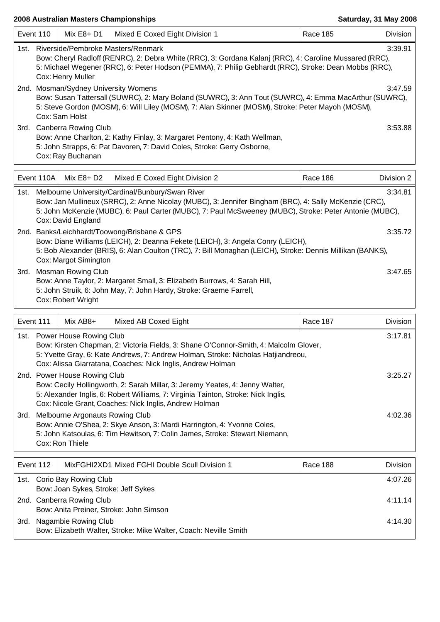Bow: Anita Preiner, Stroke: John Simson

Bow: Elizabeth Walter, Stroke: Mike Walter, Coach: Neville Smith

|           | Event 110                                                                                                                                                                                                                                                                                                                                  | Mix E8+ D1                                                        | Mixed E Coxed Eight Division 1                                                                                                                                                                                                                                        | <b>Race 185</b> | Division   |  |
|-----------|--------------------------------------------------------------------------------------------------------------------------------------------------------------------------------------------------------------------------------------------------------------------------------------------------------------------------------------------|-------------------------------------------------------------------|-----------------------------------------------------------------------------------------------------------------------------------------------------------------------------------------------------------------------------------------------------------------------|-----------------|------------|--|
| 1st.      | 3:39.91<br>Riverside/Pembroke Masters/Renmark<br>Bow: Cheryl Radloff (RENRC), 2: Debra White (RRC), 3: Gordana Kalanj (RRC), 4: Caroline Mussared (RRC),<br>5: Michael Wegener (RRC), 6: Peter Hodson (PEMMA), 7: Philip Gebhardt (RRC), Stroke: Dean Mobbs (RRC),<br>Cox: Henry Muller<br>2nd. Mosman/Sydney University Womens<br>3:47.59 |                                                                   |                                                                                                                                                                                                                                                                       |                 |            |  |
|           |                                                                                                                                                                                                                                                                                                                                            | Cox: Sam Holst                                                    | Bow: Susan Tattersall (SUWRC), 2: Mary Boland (SUWRC), 3: Ann Tout (SUWRC), 4: Emma MacArthur (SUWRC),<br>5: Steve Gordon (MOSM), 6: Will Liley (MOSM), 7: Alan Skinner (MOSM), Stroke: Peter Mayoh (MOSM),                                                           |                 |            |  |
|           |                                                                                                                                                                                                                                                                                                                                            | 3rd. Canberra Rowing Club<br>Cox: Ray Buchanan                    | Bow: Anne Charlton, 2: Kathy Finlay, 3: Margaret Pentony, 4: Kath Wellman,<br>5: John Strapps, 6: Pat Davoren, 7: David Coles, Stroke: Gerry Osborne,                                                                                                                 |                 | 3:53.88    |  |
|           | Event 110A                                                                                                                                                                                                                                                                                                                                 | Mix E8+ D2                                                        | Mixed E Coxed Eight Division 2                                                                                                                                                                                                                                        | Race 186        | Division 2 |  |
| 1st.      |                                                                                                                                                                                                                                                                                                                                            | Cox: David England                                                | Melbourne University/Cardinal/Bunbury/Swan River<br>Bow: Jan Mullineux (SRRC), 2: Anne Nicolay (MUBC), 3: Jennifer Bingham (BRC), 4: Sally McKenzie (CRC),<br>5: John McKenzie (MUBC), 6: Paul Carter (MUBC), 7: Paul McSweeney (MUBC), Stroke: Peter Antonie (MUBC), |                 | 3:34.81    |  |
|           | 2nd. Banks/Leichhardt/Toowong/Brisbane & GPS<br>3:35.72<br>Bow: Diane Williams (LEICH), 2: Deanna Fekete (LEICH), 3: Angela Conry (LEICH),<br>5: Bob Alexander (BRIS), 6: Alan Coulton (TRC), 7: Bill Monaghan (LEICH), Stroke: Dennis Millikan (BANKS),<br>Cox: Margot Simington                                                          |                                                                   |                                                                                                                                                                                                                                                                       |                 |            |  |
|           |                                                                                                                                                                                                                                                                                                                                            | 3rd. Mosman Rowing Club<br>Cox: Robert Wright                     | Bow: Anne Taylor, 2: Margaret Small, 3: Elizabeth Burrows, 4: Sarah Hill,<br>5: John Struik, 6: John May, 7: John Hardy, Stroke: Graeme Farrell,                                                                                                                      |                 | 3:47.65    |  |
| Event 111 |                                                                                                                                                                                                                                                                                                                                            | Mix AB8+                                                          | Mixed AB Coxed Eight                                                                                                                                                                                                                                                  | Race 187        | Division   |  |
|           |                                                                                                                                                                                                                                                                                                                                            | 1st. Power House Rowing Club                                      | Bow: Kirsten Chapman, 2: Victoria Fields, 3: Shane O'Connor-Smith, 4: Malcolm Glover,<br>5: Yvette Gray, 6: Kate Andrews, 7: Andrew Holman, Stroke: Nicholas Hatjiandreou,<br>Cox: Alissa Giarratana, Coaches: Nick Inglis, Andrew Holman                             |                 | 3:17.81    |  |
|           |                                                                                                                                                                                                                                                                                                                                            | 2nd. Power House Rowing Club                                      | Bow: Cecily Hollingworth, 2: Sarah Millar, 3: Jeremy Yeates, 4: Jenny Walter,<br>5: Alexander Inglis, 6: Robert Williams, 7: Virginia Tainton, Stroke: Nick Inglis,<br>Cox: Nicole Grant, Coaches: Nick Inglis, Andrew Holman                                         |                 | 3:25.27    |  |
| 3rd.      |                                                                                                                                                                                                                                                                                                                                            | Melbourne Argonauts Rowing Club<br>Cox: Ron Thiele                | Bow: Annie O'Shea, 2: Skye Anson, 3: Mardi Harrington, 4: Yvonne Coles,<br>5: John Katsoulas, 6: Tim Hewitson, 7: Colin James, Stroke: Stewart Niemann,                                                                                                               |                 | 4:02.36    |  |
|           | Event 112                                                                                                                                                                                                                                                                                                                                  |                                                                   | MixFGHI2XD1 Mixed FGHI Double Scull Division 1                                                                                                                                                                                                                        | Race 188        | Division   |  |
|           |                                                                                                                                                                                                                                                                                                                                            | 1st. Corio Bay Rowing Club<br>Bow: Joan Sykes, Stroke: Jeff Sykes |                                                                                                                                                                                                                                                                       |                 | 4:07.26    |  |
|           |                                                                                                                                                                                                                                                                                                                                            | 2nd. Canberra Rowing Club                                         |                                                                                                                                                                                                                                                                       |                 | 4:11.14    |  |

3rd. Nagambie Rowing Club 4:14.30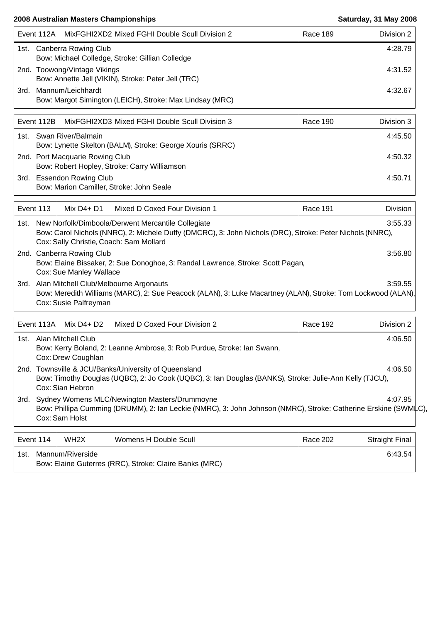|                                                                                       | MixFGHI2XD2 Mixed FGHI Double Scull Division 2<br>Event 112Al |                                                                                     | Race 189 | Division 2 |
|---------------------------------------------------------------------------------------|---------------------------------------------------------------|-------------------------------------------------------------------------------------|----------|------------|
| 1st. Canberra Rowing Club<br>Bow: Michael Colledge, Stroke: Gillian Colledge          |                                                               |                                                                                     |          | 4:28.79    |
|                                                                                       |                                                               | 2nd. Toowong/Vintage Vikings<br>Bow: Annette Jell (VIKIN), Stroke: Peter Jell (TRC) |          | 4:31.52    |
| Mannum/Leichhardt<br>3rd.<br>Bow: Margot Simington (LEICH), Stroke: Max Lindsay (MRC) |                                                               |                                                                                     |          | 4:32.67    |
|                                                                                       |                                                               |                                                                                     |          |            |

|                         | Event 112B                                                | MixFGHI2XD3 Mixed FGHI Double Scull Division 3 | Race 190 | Division 3 |
|-------------------------|-----------------------------------------------------------|------------------------------------------------|----------|------------|
| 1st. Swan River/Balmain |                                                           |                                                |          | 4:45.50    |
|                         | Bow: Lynette Skelton (BALM), Stroke: George Xouris (SRRC) |                                                |          |            |
|                         |                                                           | 2nd. Port Macquarie Rowing Club                |          | 4:50.32    |
|                         |                                                           | Bow: Robert Hopley, Stroke: Carry Williamson   |          |            |
| 3rd.                    |                                                           | <b>Essendon Rowing Club</b>                    |          | 4:50.71    |
|                         |                                                           | Bow: Marion Camiller, Stroke: John Seale       |          |            |

| Event 113<br>Mix $D4+D1$<br>Mixed D Coxed Four Division 1 |                                                                                                                                                                                                                            |               | Race 191                      | Division |            |  |  |  |
|-----------------------------------------------------------|----------------------------------------------------------------------------------------------------------------------------------------------------------------------------------------------------------------------------|---------------|-------------------------------|----------|------------|--|--|--|
|                                                           | 1st. New Norfolk/Dimboola/Derwent Mercantile Collegiate<br>3:55.33<br>Bow: Carol Nichols (NNRC), 2: Michele Duffy (DMCRC), 3: John Nichols (DRC), Stroke: Peter Nichols (NNRC),<br>Cox: Sally Christie, Coach: Sam Mollard |               |                               |          |            |  |  |  |
|                                                           | 2nd. Canberra Rowing Club<br>3:56.80<br>Bow: Elaine Bissaker, 2: Sue Donoghoe, 3: Randal Lawrence, Stroke: Scott Pagan,<br>Cox: Sue Manley Wallace                                                                         |               |                               |          |            |  |  |  |
|                                                           | 3rd. Alan Mitchell Club/Melbourne Argonauts<br>3:59.55<br>Bow: Meredith Williams (MARC), 2: Sue Peacock (ALAN), 3: Luke Macartney (ALAN), Stroke: Tom Lockwood (ALAN),<br>Cox: Susie Palfreyman                            |               |                               |          |            |  |  |  |
|                                                           | Event 113A                                                                                                                                                                                                                 | Mix $D4 + D2$ | Mixed D Coxed Four Division 2 | Race 192 | Division 2 |  |  |  |
| 1st.                                                      | Alan Mitchell Club<br>4:06.50<br>Bow: Kerry Boland, 2: Leanne Ambrose, 3: Rob Purdue, Stroke: Ian Swann,<br>Cox: Drew Coughlan                                                                                             |               |                               |          |            |  |  |  |
|                                                           | 2nd. Townsville & JCU/Banks/University of Queensland<br>4:06.50<br>Bow: Timothy Douglas (UQBC), 2: Jo Cook (UQBC), 3: Ian Douglas (BANKS), Stroke: Julie-Ann Kelly (TJCU),<br>Cox: Sian Hebron                             |               |                               |          |            |  |  |  |
| 3rd.                                                      | Sydney Womens MLC/Newington Masters/Drummoyne<br>4:07.95<br>Bow: Phillipa Cumming (DRUMM), 2: Ian Leckie (NMRC), 3: John Johnson (NMRC), Stroke: Catherine Erskine (SWMLC),<br>Cox: Sam Holst                              |               |                               |          |            |  |  |  |

| Event 114 | WH <sub>2</sub> X | Womens H Double Scull                                  | Race 202 | <b>Straight Final</b> |
|-----------|-------------------|--------------------------------------------------------|----------|-----------------------|
| .1st      | Mannum/Riverside  | Bow: Elaine Guterres (RRC), Stroke: Claire Banks (MRC) |          | 6:43.54               |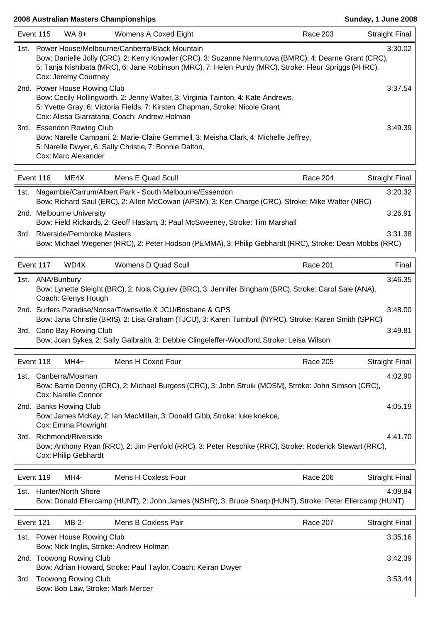|      | Event 115                                                                                                                                                                                                                                                                                           | WA 8+                                            | Womens A Coxed Eight                                                                                                                                                  | <b>Race 203</b> | <b>Straight Final</b> |  |  |
|------|-----------------------------------------------------------------------------------------------------------------------------------------------------------------------------------------------------------------------------------------------------------------------------------------------------|--------------------------------------------------|-----------------------------------------------------------------------------------------------------------------------------------------------------------------------|-----------------|-----------------------|--|--|
| 1st. | 3:30.02<br>Power House/Melbourne/Canberra/Black Mountain<br>Bow: Danielle Jolly (CRC), 2: Kerry Knowler (CRC), 3: Suzanne Nermutova (BMRC), 4: Dearne Grant (CRC),<br>5: Tanja Nishibata (MRC), 6: Jane Robinson (MRC), 7: Helen Purdy (MRC), Stroke: Fleur Spriggs (PHRC),<br>Cox: Jeremy Courtney |                                                  |                                                                                                                                                                       |                 |                       |  |  |
|      | 2nd. Power House Rowing Club<br>3:37.54<br>Bow: Cecily Hollingworth, 2: Jenny Walter, 3: Virginia Tainton, 4: Kate Andrews,<br>5: Yvette Gray, 6: Victoria Fields, 7: Kirsten Chapman, Stroke: Nicole Grant,<br>Cox: Alissa Giarratana, Coach: Andrew Holman                                        |                                                  |                                                                                                                                                                       |                 |                       |  |  |
|      |                                                                                                                                                                                                                                                                                                     | 3rd. Essendon Rowing Club<br>Cox: Marc Alexander | Bow: Narelle Campani, 2: Marie-Claire Gemmell, 3: Meisha Clark, 4: Michelle Jeffrey,<br>5: Narelle Dwyer, 6: Sally Christie, 7: Bonnie Dalton,                        |                 | 3:49.39               |  |  |
|      | Event 116                                                                                                                                                                                                                                                                                           | ME4X                                             | Mens E Quad Scull                                                                                                                                                     | Race 204        | <b>Straight Final</b> |  |  |
| 1st. |                                                                                                                                                                                                                                                                                                     |                                                  | Nagambie/Carrum/Albert Park - South Melbourne/Essendon<br>Bow: Richard Saul (ERC), 2: Allen McCowan (APSM), 3: Ken Charge (CRC), Stroke: Mike Walter (NRC)            |                 | 3:20.32               |  |  |
|      |                                                                                                                                                                                                                                                                                                     | 2nd. Melbourne University                        | Bow: Field Rickards, 2: Geoff Haslam, 3: Paul McSweeney, Stroke: Tim Marshall                                                                                         |                 | 3:26.91               |  |  |
| 3rd. |                                                                                                                                                                                                                                                                                                     | <b>Riverside/Pembroke Masters</b>                | Bow: Michael Wegener (RRC), 2: Peter Hodson (PEMMA), 3: Philip Gebhardt (RRC), Stroke: Dean Mobbs (RRC)                                                               |                 | 3:31.38               |  |  |
|      | Event 117                                                                                                                                                                                                                                                                                           | WD4X                                             | Womens D Quad Scull                                                                                                                                                   | Race 201        | Final                 |  |  |
|      | 1st. ANA/Bunbury                                                                                                                                                                                                                                                                                    | Coach: Glenys Hough                              | Bow: Lynette Sleight (BRC), 2: Nola Cigulev (BRC), 3: Jennifer Bingham (BRC), Stroke: Carol Sale (ANA),                                                               |                 | 3:46.35               |  |  |
|      |                                                                                                                                                                                                                                                                                                     |                                                  | 2nd. Surfers Paradise/Noosa/Townsville & JCU/Brisbane & GPS<br>Bow: Jana Christie (BRIS), 2: Lisa Graham (TJCU), 3: Karen Turnbull (NYRC), Stroke: Karen Smith (SPRC) |                 | 3:48.00               |  |  |
|      |                                                                                                                                                                                                                                                                                                     | 3rd. Corio Bay Rowing Club                       | Bow: Joan Sykes, 2: Sally Galbraith, 3: Debbie Clingeleffer-Woodford, Stroke: Leisa Wilson                                                                            |                 | 3:49.81               |  |  |
|      | Event 118                                                                                                                                                                                                                                                                                           | MH4+                                             | Mens H Coxed Four                                                                                                                                                     | <b>Race 205</b> | <b>Straight Final</b> |  |  |
| 1st. |                                                                                                                                                                                                                                                                                                     | Canberra/Mosman<br>Cox: Narelle Connor           | Bow: Barrie Denny (CRC), 2: Michael Burgess (CRC), 3: John Struik (MOSM), Stroke: John Simson (CRC),                                                                  |                 | 4:02.90               |  |  |
|      |                                                                                                                                                                                                                                                                                                     | 2nd. Banks Rowing Club<br>Cox: Emma Plowright    | Bow: James McKay, 2: Ian MacMillan, 3: Donald Gibb, Stroke: luke koekoe,                                                                                              |                 | 4:05.19               |  |  |
|      | Richmond/Riverside<br>4:41.70<br>3rd.<br>Bow: Anthony Ryan (RRC), 2: Jim Penfold (RRC), 3: Peter Reschke (RRC), Stroke: Roderick Stewart (RRC),<br>Cox: Philip Gebhardt                                                                                                                             |                                                  |                                                                                                                                                                       |                 |                       |  |  |
|      | Event 119                                                                                                                                                                                                                                                                                           | MH4-                                             | Mens H Coxless Four                                                                                                                                                   | Race 206        | <b>Straight Final</b> |  |  |
|      | 1st. Hunter/North Shore<br>4:09.84<br>Bow: Donald Ellercamp (HUNT), 2: John James (NSHR), 3: Bruce Sharp (HUNT), Stroke: Peter Ellercamp (HUNT)                                                                                                                                                     |                                                  |                                                                                                                                                                       |                 |                       |  |  |
|      | Event 121<br>MB 2-<br>Mens B Coxless Pair<br>Race 207<br><b>Straight Final</b>                                                                                                                                                                                                                      |                                                  |                                                                                                                                                                       |                 |                       |  |  |
| 1st. | 3:35.16<br>Power House Rowing Club<br>Bow: Nick Inglis, Stroke: Andrew Holman                                                                                                                                                                                                                       |                                                  |                                                                                                                                                                       |                 |                       |  |  |
|      | 3:42.39<br>2nd. Toowong Rowing Club                                                                                                                                                                                                                                                                 |                                                  |                                                                                                                                                                       |                 |                       |  |  |

Bow: Adrian Howard, Stroke: Paul Taylor, Coach: Keiran Dwyer 3rd. Toowong Rowing Club 3:53.44 Bow: Bob Law, Stroke: Mark Mercer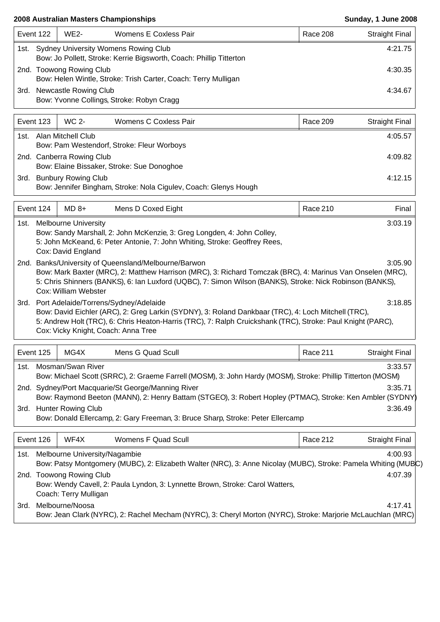|      | Event 122                                                                                                        | WE2-                  | Womens E Coxless Pair                     | Race 208 | Straight Final |
|------|------------------------------------------------------------------------------------------------------------------|-----------------------|-------------------------------------------|----------|----------------|
|      | 1st. Sydney University Womens Rowing Club<br>Bow: Jo Pollett, Stroke: Kerrie Bigsworth, Coach: Phillip Titterton |                       |                                           |          |                |
|      | 2nd. Toowong Rowing Club<br>Bow: Helen Wintle, Stroke: Trish Carter, Coach: Terry Mulligan                       |                       |                                           |          | 4:30.35        |
| 3rd. |                                                                                                                  | Newcastle Rowing Club | Bow: Yvonne Collings, Stroke: Robyn Cragg |          | 4:34.67        |

| Event 123 |                    | WC 2-                      | Womens C Coxless Pair                                            | Race 209 | <b>Straight Final</b> |
|-----------|--------------------|----------------------------|------------------------------------------------------------------|----------|-----------------------|
| 1st.      | Alan Mitchell Club |                            |                                                                  | 4:05.57  |                       |
|           |                    |                            | Bow: Pam Westendorf, Stroke: Fleur Worboys                       |          |                       |
|           |                    | 2nd. Canberra Rowing Club  |                                                                  |          | 4:09.82               |
|           |                    |                            | Bow: Elaine Bissaker, Stroke: Sue Donoghoe                       |          |                       |
| 3rd.      |                    | <b>Bunbury Rowing Club</b> |                                                                  |          | 4:12.15               |
|           |                    |                            | Bow: Jennifer Bingham, Stroke: Nola Cigulev, Coach: Glenys Hough |          |                       |

|      | Event 124 | $MD 8+$                                           | Mens D Coxed Eight                                                                                                                                                                                                                                                                                      | Race 210 | Final   |
|------|-----------|---------------------------------------------------|---------------------------------------------------------------------------------------------------------------------------------------------------------------------------------------------------------------------------------------------------------------------------------------------------------|----------|---------|
| 1st. |           | <b>Melbourne University</b><br>Cox: David England | Bow: Sandy Marshall, 2: John McKenzie, 3: Greg Longden, 4: John Colley,<br>5: John McKeand, 6: Peter Antonie, 7: John Whiting, Stroke: Geoffrey Rees,                                                                                                                                                   |          | 3:03.19 |
|      |           | Cox: William Webster                              | 2nd. Banks/University of Queensland/Melbourne/Barwon<br>Bow: Mark Baxter (MRC), 2: Matthew Harrison (MRC), 3: Richard Tomczak (BRC), 4: Marinus Van Onselen (MRC),<br>5: Chris Shinners (BANKS), 6: Ian Luxford (UQBC), 7: Simon Wilson (BANKS), Stroke: Nick Robinson (BANKS),                         |          | 3:05.90 |
|      |           |                                                   | 3rd. Port Adelaide/Torrens/Sydney/Adelaide<br>Bow: David Eichler (ARC), 2: Greg Larkin (SYDNY), 3: Roland Dankbaar (TRC), 4: Loch Mitchell (TRC),<br>5: Andrew Holt (TRC), 6: Chris Heaton-Harris (TRC), 7: Ralph Cruickshank (TRC), Stroke: Paul Knight (PARC),<br>Cox: Vicky Knight, Coach: Anna Tree |          | 3:18.85 |

| Event 125                                                                                                                                           | MG4X | Mens G Quad Scull                                                                                                                                              | Race 211 | <b>Straight Final</b> |  |  |
|-----------------------------------------------------------------------------------------------------------------------------------------------------|------|----------------------------------------------------------------------------------------------------------------------------------------------------------------|----------|-----------------------|--|--|
| Mosman/Swan River<br>3:33.57<br>1st.<br>Bow: Michael Scott (SRRC), 2: Graeme Farrell (MOSM), 3: John Hardy (MOSM), Stroke: Phillip Titterton (MOSM) |      |                                                                                                                                                                |          |                       |  |  |
|                                                                                                                                                     |      | 2nd. Sydney/Port Macquarie/St George/Manning River<br>Bow: Raymond Beeton (MANN), 2: Henry Battam (STGEO), 3: Robert Hopley (PTMAC), Stroke: Ken Ambler (SYDNY |          | 3:35.71               |  |  |
| <b>Hunter Rowing Club</b><br>3:36.49<br>3rd.<br>Bow: Donald Ellercamp, 2: Gary Freeman, 3: Bruce Sharp, Stroke: Peter Ellercamp                     |      |                                                                                                                                                                |          |                       |  |  |
| Event 126                                                                                                                                           | WF4X | Womens F Quad Scull                                                                                                                                            | Race 212 | <b>Straight Final</b> |  |  |

|      | 1st. Melbourne University/Nagambie                                                                             | 4:00.93 |  |
|------|----------------------------------------------------------------------------------------------------------------|---------|--|
|      | Bow: Patsy Montgomery (MUBC), 2: Elizabeth Walter (NRC), 3: Anne Nicolay (MUBC), Stroke: Pamela Whiting (MUBC) |         |  |
| 2nd. | <b>Toowong Rowing Club</b>                                                                                     | 4:07.39 |  |
|      | Bow: Wendy Cavell, 2: Paula Lyndon, 3: Lynnette Brown, Stroke: Carol Watters,                                  |         |  |
|      | Coach: Terry Mulligan                                                                                          |         |  |
| 3rd. | Melbourne/Noosa                                                                                                | 4:17.41 |  |
|      | Bow: Jean Clark (NYRC), 2: Rachel Mecham (NYRC), 3: Cheryl Morton (NYRC), Stroke: Marjorie McLauchlan (MRC)    |         |  |
|      |                                                                                                                |         |  |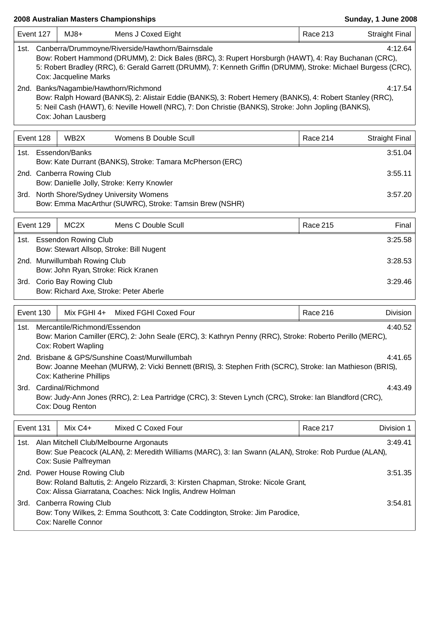$\mathsf{r}$ 

| Event 127                                                                                                                                                                                                                                                                                                              | $MJ8+$                                                                                                                                                                                                                                                                                      | Mens J Coxed Eight                                                                                                                                            | Race 213        | <b>Straight Final</b> |  |  |
|------------------------------------------------------------------------------------------------------------------------------------------------------------------------------------------------------------------------------------------------------------------------------------------------------------------------|---------------------------------------------------------------------------------------------------------------------------------------------------------------------------------------------------------------------------------------------------------------------------------------------|---------------------------------------------------------------------------------------------------------------------------------------------------------------|-----------------|-----------------------|--|--|
| 4:12.64<br>Canberra/Drummoyne/Riverside/Hawthorn/Bairnsdale<br>1st.<br>Bow: Robert Hammond (DRUMM), 2: Dick Bales (BRC), 3: Rupert Horsburgh (HAWT), 4: Ray Buchanan (CRC),<br>5: Robert Bradley (RRC), 6: Gerald Garrett (DRUMM), 7: Kenneth Griffin (DRUMM), Stroke: Michael Burgess (CRC),<br>Cox: Jacqueline Marks |                                                                                                                                                                                                                                                                                             |                                                                                                                                                               |                 |                       |  |  |
|                                                                                                                                                                                                                                                                                                                        | 2nd. Banks/Nagambie/Hawthorn/Richmond<br>4:17.54<br>Bow: Ralph Howard (BANKS), 2: Alistair Eddie (BANKS), 3: Robert Hemery (BANKS), 4: Robert Stanley (RRC),<br>5: Neil Cash (HAWT), 6: Neville Howell (NRC), 7: Don Christie (BANKS), Stroke: John Jopling (BANKS),<br>Cox: Johan Lausberg |                                                                                                                                                               |                 |                       |  |  |
| Event 128                                                                                                                                                                                                                                                                                                              | WB <sub>2</sub> X                                                                                                                                                                                                                                                                           | Womens B Double Scull                                                                                                                                         | Race 214        | <b>Straight Final</b> |  |  |
| 1st. l                                                                                                                                                                                                                                                                                                                 | Essendon/Banks                                                                                                                                                                                                                                                                              | Bow: Kate Durrant (BANKS), Stroke: Tamara McPherson (ERC)                                                                                                     |                 | 3:51.04               |  |  |
|                                                                                                                                                                                                                                                                                                                        | 2nd. Canberra Rowing Club                                                                                                                                                                                                                                                                   | Bow: Danielle Jolly, Stroke: Kerry Knowler                                                                                                                    |                 | 3:55.11               |  |  |
|                                                                                                                                                                                                                                                                                                                        |                                                                                                                                                                                                                                                                                             | 3rd. North Shore/Sydney University Womens<br>Bow: Emma MacArthur (SUWRC), Stroke: Tamsin Brew (NSHR)                                                          |                 | 3:57.20               |  |  |
| Event 129                                                                                                                                                                                                                                                                                                              | MC <sub>2</sub> X                                                                                                                                                                                                                                                                           | Mens C Double Scull                                                                                                                                           | <b>Race 215</b> | Final                 |  |  |
|                                                                                                                                                                                                                                                                                                                        | 1st. Essendon Rowing Club                                                                                                                                                                                                                                                                   | Bow: Stewart Allsop, Stroke: Bill Nugent                                                                                                                      |                 | 3:25.58               |  |  |
|                                                                                                                                                                                                                                                                                                                        | 2nd. Murwillumbah Rowing Club<br>Bow: John Ryan, Stroke: Rick Kranen                                                                                                                                                                                                                        |                                                                                                                                                               |                 | 3:28.53               |  |  |
|                                                                                                                                                                                                                                                                                                                        | 3rd. Corio Bay Rowing Club                                                                                                                                                                                                                                                                  | Bow: Richard Axe, Stroke: Peter Aberle                                                                                                                        |                 | 3:29.46               |  |  |
| Event 130                                                                                                                                                                                                                                                                                                              | Mix FGHI 4+                                                                                                                                                                                                                                                                                 | Mixed FGHI Coxed Four                                                                                                                                         | Race 216        | Division              |  |  |
| 1st.                                                                                                                                                                                                                                                                                                                   | Mercantile/Richmond/Essendon<br>Cox: Robert Wapling                                                                                                                                                                                                                                         | Bow: Marion Camiller (ERC), 2: John Seale (ERC), 3: Kathryn Penny (RRC), Stroke: Roberto Perillo (MERC),                                                      |                 | 4:40.52               |  |  |
|                                                                                                                                                                                                                                                                                                                        | <b>Cox: Katherine Phillips</b>                                                                                                                                                                                                                                                              | 2nd. Brisbane & GPS/Sunshine Coast/Murwillumbah<br>Bow: Joanne Meehan (MURW), 2: Vicki Bennett (BRIS), 3: Stephen Frith (SCRC), Stroke: Ian Mathieson (BRIS), |                 | 4:41.65               |  |  |
| 3rd.                                                                                                                                                                                                                                                                                                                   | Cardinal/Richmond<br>4:43.49<br>Bow: Judy-Ann Jones (RRC), 2: Lea Partridge (CRC), 3: Steven Lynch (CRC), Stroke: Ian Blandford (CRC),<br>Cox: Doug Renton                                                                                                                                  |                                                                                                                                                               |                 |                       |  |  |
| Event 131                                                                                                                                                                                                                                                                                                              | Mix C4+                                                                                                                                                                                                                                                                                     | Mixed C Coxed Four                                                                                                                                            | Race 217        | Division 1            |  |  |
|                                                                                                                                                                                                                                                                                                                        | Cox: Susie Palfreyman                                                                                                                                                                                                                                                                       | 1st. Alan Mitchell Club/Melbourne Argonauts<br>Bow: Sue Peacock (ALAN), 2: Meredith Williams (MARC), 3: Ian Swann (ALAN), Stroke: Rob Purdue (ALAN),          |                 | 3:49.41               |  |  |
|                                                                                                                                                                                                                                                                                                                        | 2nd. Power House Rowing Club<br>3:51.35<br>Bow: Roland Baltutis, 2: Angelo Rizzardi, 3: Kirsten Chapman, Stroke: Nicole Grant,                                                                                                                                                              |                                                                                                                                                               |                 |                       |  |  |
|                                                                                                                                                                                                                                                                                                                        | Cox: Alissa Giarratana, Coaches: Nick Inglis, Andrew Holman<br>3rd. Canberra Rowing Club<br>3:54.81<br>Bow: Tony Wilkes, 2: Emma Southcott, 3: Cate Coddington, Stroke: Jim Parodice,<br>Cox: Narelle Connor                                                                                |                                                                                                                                                               |                 |                       |  |  |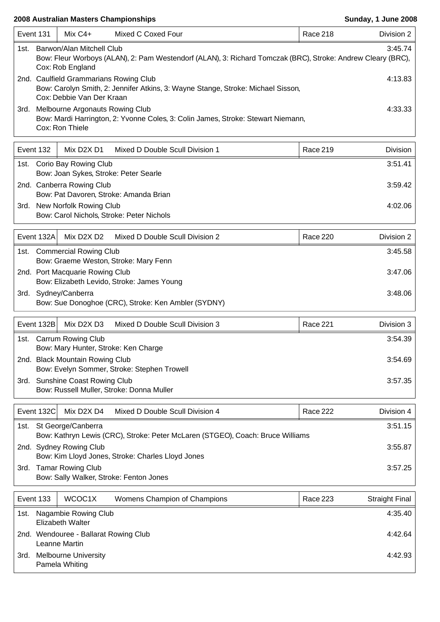| Event 131 |                                                                                                                                                                         | $Mix C4+$                                                                       | Mixed C Coxed Four                                                               | Race 218        | Division 2            |  |  |
|-----------|-------------------------------------------------------------------------------------------------------------------------------------------------------------------------|---------------------------------------------------------------------------------|----------------------------------------------------------------------------------|-----------------|-----------------------|--|--|
| 1st.      | Barwon/Alan Mitchell Club<br>3:45.74<br>Bow: Fleur Worboys (ALAN), 2: Pam Westendorf (ALAN), 3: Richard Tomczak (BRC), Stroke: Andrew Cleary (BRC),<br>Cox: Rob England |                                                                                 |                                                                                  |                 |                       |  |  |
|           | 2nd. Caulfield Grammarians Rowing Club<br>4:13.83<br>Bow: Carolyn Smith, 2: Jennifer Atkins, 3: Wayne Stange, Stroke: Michael Sisson,                                   |                                                                                 |                                                                                  |                 |                       |  |  |
| 3rd.      |                                                                                                                                                                         | Cox: Debbie Van Der Kraan<br>Melbourne Argonauts Rowing Club<br>Cox: Ron Thiele | Bow: Mardi Harrington, 2: Yvonne Coles, 3: Colin James, Stroke: Stewart Niemann, |                 | 4:33.33               |  |  |
|           | Event 132                                                                                                                                                               | Mix D2X D1                                                                      | Mixed D Double Scull Division 1                                                  | <b>Race 219</b> | <b>Division</b>       |  |  |
|           |                                                                                                                                                                         | 1st. Corio Bay Rowing Club                                                      |                                                                                  |                 | 3:51.41               |  |  |
|           |                                                                                                                                                                         | Bow: Joan Sykes, Stroke: Peter Searle                                           |                                                                                  |                 |                       |  |  |
|           |                                                                                                                                                                         | 2nd. Canberra Rowing Club<br>Bow: Pat Davoren, Stroke: Amanda Brian             |                                                                                  |                 | 3:59.42               |  |  |
|           |                                                                                                                                                                         | 3rd. New Norfolk Rowing Club<br>Bow: Carol Nichols, Stroke: Peter Nichols       |                                                                                  |                 | 4:02.06               |  |  |
|           | Event 132A                                                                                                                                                              | Mix D2X D2                                                                      | Mixed D Double Scull Division 2                                                  | <b>Race 220</b> | Division 2            |  |  |
|           |                                                                                                                                                                         | 1st. Commercial Rowing Club                                                     |                                                                                  |                 | 3:45.58               |  |  |
|           |                                                                                                                                                                         | Bow: Graeme Weston, Stroke: Mary Fenn<br>2nd. Port Macquarie Rowing Club        |                                                                                  |                 | 3:47.06               |  |  |
|           |                                                                                                                                                                         | Bow: Elizabeth Levido, Stroke: James Young                                      |                                                                                  |                 |                       |  |  |
|           |                                                                                                                                                                         | 3rd. Sydney/Canberra                                                            | Bow: Sue Donoghoe (CRC), Stroke: Ken Ambler (SYDNY)                              |                 | 3:48.06               |  |  |
|           | Event 132B                                                                                                                                                              | Mix D2X D3                                                                      | Mixed D Double Scull Division 3                                                  | Race 221        | Division 3            |  |  |
| 1st.      |                                                                                                                                                                         | <b>Carrum Rowing Club</b><br>Bow: Mary Hunter, Stroke: Ken Charge               |                                                                                  |                 | 3:54.39               |  |  |
|           |                                                                                                                                                                         | 2nd. Black Mountain Rowing Club                                                 |                                                                                  |                 | 3:54.69               |  |  |
|           |                                                                                                                                                                         | Bow: Evelyn Sommer, Stroke: Stephen Trowell                                     |                                                                                  |                 |                       |  |  |
|           |                                                                                                                                                                         | 3rd. Sunshine Coast Rowing Club<br>Bow: Russell Muller, Stroke: Donna Muller    |                                                                                  |                 | 3:57.35               |  |  |
|           | Event 132C                                                                                                                                                              | Mix D <sub>2X</sub> D <sub>4</sub>                                              | Mixed D Double Scull Division 4                                                  | <b>Race 222</b> | Division 4            |  |  |
|           |                                                                                                                                                                         | 1st. St George/Canberra                                                         |                                                                                  |                 | 3:51.15               |  |  |
|           |                                                                                                                                                                         | 2nd. Sydney Rowing Club                                                         | Bow: Kathryn Lewis (CRC), Stroke: Peter McLaren (STGEO), Coach: Bruce Williams   |                 | 3:55.87               |  |  |
|           |                                                                                                                                                                         | Bow: Kim Lloyd Jones, Stroke: Charles Lloyd Jones<br>3rd. Tamar Rowing Club     |                                                                                  |                 | 3:57.25               |  |  |
|           |                                                                                                                                                                         | Bow: Sally Walker, Stroke: Fenton Jones                                         |                                                                                  |                 |                       |  |  |
|           | Event 133                                                                                                                                                               | WCOC1X                                                                          | Womens Champion of Champions                                                     | <b>Race 223</b> | <b>Straight Final</b> |  |  |
| 1st.      |                                                                                                                                                                         | Nagambie Rowing Club                                                            |                                                                                  |                 | 4:35.40               |  |  |
|           | <b>Elizabeth Walter</b><br>2nd. Wendouree - Ballarat Rowing Club<br>4:42.64                                                                                             |                                                                                 |                                                                                  |                 |                       |  |  |
|           |                                                                                                                                                                         | Leanne Martin<br>3rd. Melbourne University                                      |                                                                                  |                 | 4:42.93               |  |  |
|           | Pamela Whiting                                                                                                                                                          |                                                                                 |                                                                                  |                 |                       |  |  |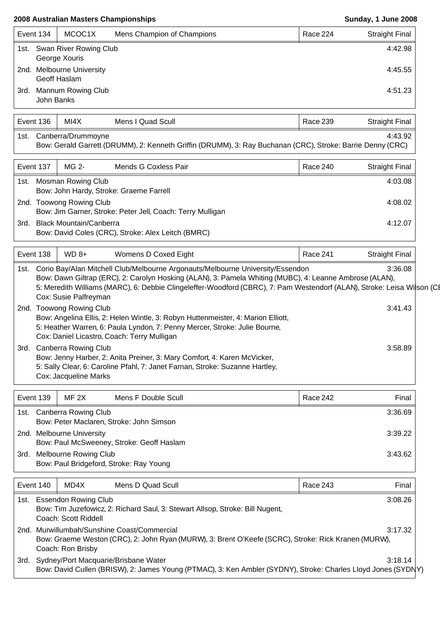$\overline{\phantom{a}}$ 

| Event 134                                            | MCOC1X                                       | Mens Champion of Champions | Race 224 | Straight Final |
|------------------------------------------------------|----------------------------------------------|----------------------------|----------|----------------|
|                                                      | 1st. Swan River Rowing Club<br>George Xouris |                            |          | 4:42.98        |
| 2nd. Melbourne University<br>4:45.55<br>Geoff Haslam |                                              |                            |          |                |
| John Banks                                           | 3rd. Mannum Rowing Club                      |                            |          | 4:51.23        |

|      | Event 136                                                                                                                                                                                                                                                                                                                                                | MI4X                                                 | Mens I Quad Scull                                                                                                                                                                                             | Race 239        | <b>Straight Final</b> |  |  |  |
|------|----------------------------------------------------------------------------------------------------------------------------------------------------------------------------------------------------------------------------------------------------------------------------------------------------------------------------------------------------------|------------------------------------------------------|---------------------------------------------------------------------------------------------------------------------------------------------------------------------------------------------------------------|-----------------|-----------------------|--|--|--|
| 1st. | Canberra/Drummoyne<br>4:43.92<br>Bow: Gerald Garrett (DRUMM), 2: Kenneth Griffin (DRUMM), 3: Ray Buchanan (CRC), Stroke: Barrie Denny (CRC)                                                                                                                                                                                                              |                                                      |                                                                                                                                                                                                               |                 |                       |  |  |  |
|      | Event 137                                                                                                                                                                                                                                                                                                                                                | MG 2-                                                | Mends G Coxless Pair                                                                                                                                                                                          | <b>Race 240</b> | <b>Straight Final</b> |  |  |  |
| 1st. |                                                                                                                                                                                                                                                                                                                                                          | <b>Mosman Rowing Club</b>                            | Bow: John Hardy, Stroke: Graeme Farrell                                                                                                                                                                       |                 | 4:03.08               |  |  |  |
|      |                                                                                                                                                                                                                                                                                                                                                          | 2nd. Toowong Rowing Club                             | Bow: Jim Garner, Stroke: Peter Jell, Coach: Terry Mulligan                                                                                                                                                    |                 | 4:08.02               |  |  |  |
|      | 3rd. Black Mountain/Canberra<br>4:12.07<br>Bow: David Coles (CRC), Stroke: Alex Leitch (BMRC)                                                                                                                                                                                                                                                            |                                                      |                                                                                                                                                                                                               |                 |                       |  |  |  |
|      | Event 138<br>$WD 8+$<br>Womens D Coxed Eight<br>Race 241<br><b>Straight Final</b>                                                                                                                                                                                                                                                                        |                                                      |                                                                                                                                                                                                               |                 |                       |  |  |  |
| 1st. | Corio Bay/Alan Mitchell Club/Melbourne Argonauts/Melbourne University/Essendon<br>3:36.08<br>Bow: Dawn Giltrap (ERC), 2: Carolyn Hosking (ALAN), 3: Pamela Whiting (MUBC), 4: Leanne Ambrose (ALAN),<br>5: Meredith Williams (MARC), 6: Debbie Clingeleffer-Woodford (CBRC), 7: Pam Westendorf (ALAN), Stroke: Leisa Wilson (CI<br>Cox: Susie Palfreyman |                                                      |                                                                                                                                                                                                               |                 |                       |  |  |  |
|      |                                                                                                                                                                                                                                                                                                                                                          | 2nd. Toowong Rowing Club                             | Bow: Angelina Ellis, 2: Helen Wintle, 3: Robyn Huttenmeister, 4: Marion Elliott,<br>5: Heather Warren, 6: Paula Lyndon, 7: Penny Mercer, Stroke: Julie Bourne,<br>Cox: Daniel Licastro, Coach: Terry Mulligan |                 | 3:41.43               |  |  |  |
| 3rd. |                                                                                                                                                                                                                                                                                                                                                          | <b>Canberra Rowing Club</b><br>Cox: Jacqueline Marks | Bow: Jenny Harber, 2: Anita Preiner, 3: Mary Comfort, 4: Karen McVicker,<br>5: Sally Clear, 6: Caroline Pfahl, 7: Janet Farnan, Stroke: Suzanne Hartley,                                                      |                 | 3:58.89               |  |  |  |

|      | Event 139                                                                                                          | MF 2X | Mens F Double Scull | Race 242 | Final I |
|------|--------------------------------------------------------------------------------------------------------------------|-------|---------------------|----------|---------|
| 1st. | Canberra Rowing Club                                                                                               |       |                     |          | 3:36.69 |
|      | Bow: Peter Maclaren, Stroke: John Simson<br>2nd. Melbourne University<br>Bow: Paul McSweeney, Stroke: Geoff Haslam |       |                     |          | 3:39.22 |
| 3rd. | Melbourne Rowing Club<br>Bow: Paul Bridgeford, Stroke: Ray Young                                                   |       |                     |          | 3:43.62 |

|      | Event 140                                                                                                                                                               | MD4X                                                | Mens D Quad Scull                                                                                                                                     |  | Race 243 | Final   |
|------|-------------------------------------------------------------------------------------------------------------------------------------------------------------------------|-----------------------------------------------------|-------------------------------------------------------------------------------------------------------------------------------------------------------|--|----------|---------|
| 1st. |                                                                                                                                                                         | <b>Essendon Rowing Club</b><br>Coach: Scott Riddell | Bow: Tim Juzefowicz, 2: Richard Saul, 3: Stewart Allsop, Stroke: Bill Nugent,                                                                         |  |          | 3:08.26 |
|      | 2nd. Murwillumbah/Sunshine Coast/Commercial<br>Bow: Graeme Weston (CRC), 2: John Ryan (MURW), 3: Brent O'Keefe (SCRC), Stroke: Rick Kranen (MURW),<br>Coach: Ron Brisby |                                                     |                                                                                                                                                       |  |          | 3:17.32 |
| 3rd. |                                                                                                                                                                         |                                                     | Sydney/Port Macquarie/Brisbane Water<br>Bow: David Cullen (BRISW), 2: James Young (PTMAC), 3: Ken Ambler (SYDNY), Stroke: Charles Lloyd Jones (SYDNY) |  |          | 3:18.14 |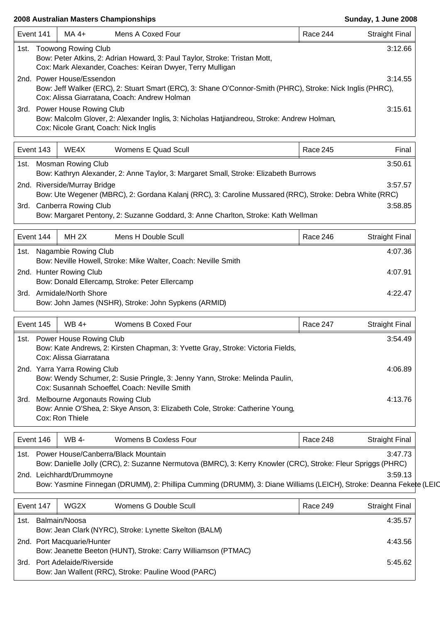| Event 141<br>MA 4+<br>Mens A Coxed Four<br>Race 244<br>1st. Toowong Rowing Club<br>Bow: Peter Atkins, 2: Adrian Howard, 3: Paul Taylor, Stroke: Tristan Mott,<br>Cox: Mark Alexander, Coaches: Keiran Dwyer, Terry Mulligan<br>2nd. Power House/Essendon<br>Bow: Jeff Walker (ERC), 2: Stuart Smart (ERC), 3: Shane O'Connor-Smith (PHRC), Stroke: Nick Inglis (PHRC),<br>Cox: Alissa Giarratana, Coach: Andrew Holman<br>3rd. Power House Rowing Club<br>Bow: Malcolm Glover, 2: Alexander Inglis, 3: Nicholas Hatjiandreou, Stroke: Andrew Holman,<br>Cox: Nicole Grant, Coach: Nick Inglis | <b>Straight Final</b><br>3:12.66<br>3:14.55<br>3:15.61<br>Final<br>3:50.61 |
|-----------------------------------------------------------------------------------------------------------------------------------------------------------------------------------------------------------------------------------------------------------------------------------------------------------------------------------------------------------------------------------------------------------------------------------------------------------------------------------------------------------------------------------------------------------------------------------------------|----------------------------------------------------------------------------|
|                                                                                                                                                                                                                                                                                                                                                                                                                                                                                                                                                                                               |                                                                            |
|                                                                                                                                                                                                                                                                                                                                                                                                                                                                                                                                                                                               |                                                                            |
|                                                                                                                                                                                                                                                                                                                                                                                                                                                                                                                                                                                               |                                                                            |
|                                                                                                                                                                                                                                                                                                                                                                                                                                                                                                                                                                                               |                                                                            |
| Event 143<br>Race 245<br>WE4X<br>Womens E Quad Scull                                                                                                                                                                                                                                                                                                                                                                                                                                                                                                                                          |                                                                            |
| 1st. Mosman Rowing Club<br>Bow: Kathryn Alexander, 2: Anne Taylor, 3: Margaret Small, Stroke: Elizabeth Burrows                                                                                                                                                                                                                                                                                                                                                                                                                                                                               |                                                                            |
| 2nd. Riverside/Murray Bridge<br>Bow: Ute Wegener (MBRC), 2: Gordana Kalanj (RRC), 3: Caroline Mussared (RRC), Stroke: Debra White (RRC)                                                                                                                                                                                                                                                                                                                                                                                                                                                       | 3:57.57                                                                    |
| 3rd. Canberra Rowing Club<br>Bow: Margaret Pentony, 2: Suzanne Goddard, 3: Anne Charlton, Stroke: Kath Wellman                                                                                                                                                                                                                                                                                                                                                                                                                                                                                | 3:58.85                                                                    |
| Event 144<br>MH <sub>2X</sub><br>Mens H Double Scull<br>Race 246                                                                                                                                                                                                                                                                                                                                                                                                                                                                                                                              | <b>Straight Final</b>                                                      |
| 1st. Nagambie Rowing Club<br>Bow: Neville Howell, Stroke: Mike Walter, Coach: Neville Smith                                                                                                                                                                                                                                                                                                                                                                                                                                                                                                   | 4:07.36                                                                    |
| 2nd. Hunter Rowing Club                                                                                                                                                                                                                                                                                                                                                                                                                                                                                                                                                                       | 4:07.91                                                                    |
| Bow: Donald Ellercamp, Stroke: Peter Ellercamp<br>3rd. Armidale/North Shore<br>Bow: John James (NSHR), Stroke: John Sypkens (ARMID)                                                                                                                                                                                                                                                                                                                                                                                                                                                           | 4:22.47                                                                    |
| $WB$ 4+<br>Womens B Coxed Four<br>Event 145<br>Race 247                                                                                                                                                                                                                                                                                                                                                                                                                                                                                                                                       | <b>Straight Final</b>                                                      |
| 1st. Power House Rowing Club<br>Bow: Kate Andrews, 2: Kirsten Chapman, 3: Yvette Gray, Stroke: Victoria Fields,<br>Cox: Alissa Giarratana                                                                                                                                                                                                                                                                                                                                                                                                                                                     | 3:54.49                                                                    |
| 2nd. Yarra Yarra Rowing Club<br>Bow: Wendy Schumer, 2: Susie Pringle, 3: Jenny Yann, Stroke: Melinda Paulin,<br>Cox: Susannah Schoeffel, Coach: Neville Smith                                                                                                                                                                                                                                                                                                                                                                                                                                 | 4:06.89                                                                    |
| Melbourne Argonauts Rowing Club<br>3rd.<br>Bow: Annie O'Shea, 2: Skye Anson, 3: Elizabeth Cole, Stroke: Catherine Young,<br>Cox: Ron Thiele                                                                                                                                                                                                                                                                                                                                                                                                                                                   | 4:13.76                                                                    |
| Event 146<br><b>Womens B Coxless Four</b><br><b>WB 4-</b><br>Race 248                                                                                                                                                                                                                                                                                                                                                                                                                                                                                                                         | <b>Straight Final</b>                                                      |
| 1st. Power House/Canberra/Black Mountain<br>Bow: Danielle Jolly (CRC), 2: Suzanne Nermutova (BMRC), 3: Kerry Knowler (CRC), Stroke: Fleur Spriggs (PHRC)                                                                                                                                                                                                                                                                                                                                                                                                                                      | 3:47.73                                                                    |
| 2nd. Leichhardt/Drummoyne<br>Bow: Yasmine Finnegan (DRUMM), 2: Phillipa Cumming (DRUMM), 3: Diane Williams (LEICH), Stroke: Deanna Fekete (LEIC                                                                                                                                                                                                                                                                                                                                                                                                                                               | 3:59.13                                                                    |
| Event 147<br>WG2X<br>Womens G Double Scull<br>Race 249                                                                                                                                                                                                                                                                                                                                                                                                                                                                                                                                        | <b>Straight Final</b>                                                      |
| 1st. Balmain/Noosa                                                                                                                                                                                                                                                                                                                                                                                                                                                                                                                                                                            | 4:35.57                                                                    |
| Bow: Jean Clark (NYRC), Stroke: Lynette Skelton (BALM)<br>2nd. Port Macquarie/Hunter                                                                                                                                                                                                                                                                                                                                                                                                                                                                                                          | 4:43.56                                                                    |

Bow: Jeanette Beeton (HUNT), Stroke: Carry Williamson (PTMAC) 3rd. Port Adelaide/Riverside 5:45.62 Bow: Jan Wallent (RRC), Stroke: Pauline Wood (PARC)